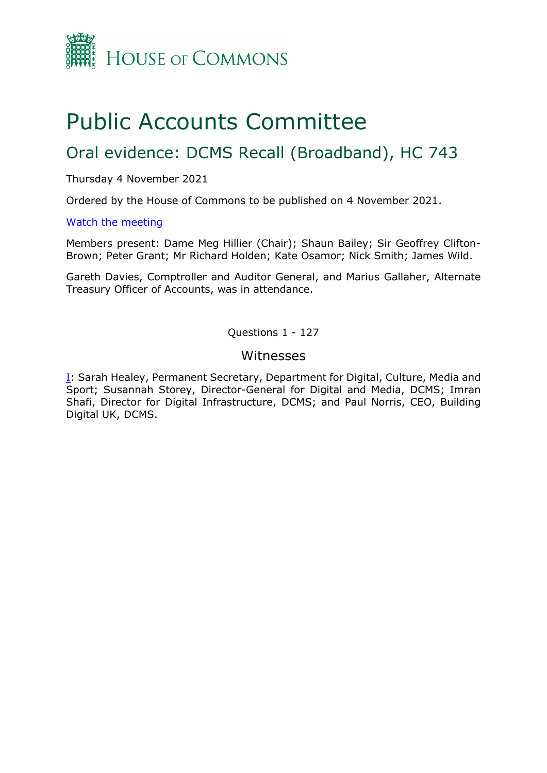

# Public Accounts Committee

# Oral evidence: DCMS Recall (Broadband), HC 743

#### Thursday 4 November 2021

Ordered by the House of Commons to be published on 4 November 2021.

#### [Watch the meeting](https://parliamentlive.tv/event/index/d30e273e-ec09-406d-9ca6-60d8a11340b7?in=10:06:20)

Members present: Dame Meg Hillier (Chair); Shaun Bailey; Sir Geoffrey Clifton-Brown; Peter Grant; Mr Richard Holden; Kate Osamor; Nick Smith; James Wild.

Gareth Davies, Comptroller and Auditor General, and Marius Gallaher, Alternate Treasury Officer of Accounts, was in attendance.

Questions 1 - 127

### Witnesses

[I:](#page-1-0) Sarah Healey, Permanent Secretary, Department for Digital, Culture, Media and Sport; Susannah Storey, Director-General for Digital and Media, DCMS; Imran Shafi, Director for Digital Infrastructure, DCMS; and Paul Norris, CEO, Building Digital UK, DCMS.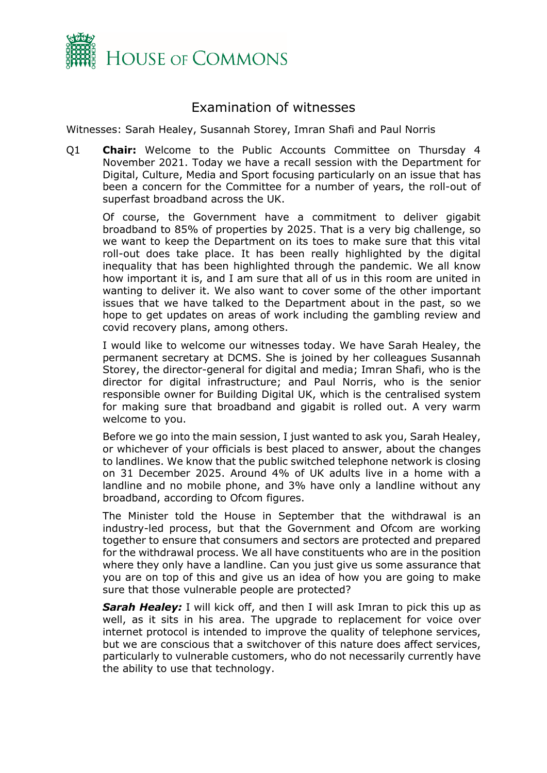

## Examination of witnesses

<span id="page-1-0"></span>Witnesses: Sarah Healey, Susannah Storey, Imran Shafi and Paul Norris

Q1 **Chair:** Welcome to the Public Accounts Committee on Thursday 4 November 2021. Today we have a recall session with the Department for Digital, Culture, Media and Sport focusing particularly on an issue that has been a concern for the Committee for a number of years, the roll-out of superfast broadband across the UK.

Of course, the Government have a commitment to deliver gigabit broadband to 85% of properties by 2025. That is a very big challenge, so we want to keep the Department on its toes to make sure that this vital roll-out does take place. It has been really highlighted by the digital inequality that has been highlighted through the pandemic. We all know how important it is, and I am sure that all of us in this room are united in wanting to deliver it. We also want to cover some of the other important issues that we have talked to the Department about in the past, so we hope to get updates on areas of work including the gambling review and covid recovery plans, among others.

I would like to welcome our witnesses today. We have Sarah Healey, the permanent secretary at DCMS. She is joined by her colleagues Susannah Storey, the director-general for digital and media; Imran Shafi, who is the director for digital infrastructure; and Paul Norris, who is the senior responsible owner for Building Digital UK, which is the centralised system for making sure that broadband and gigabit is rolled out. A very warm welcome to you.

Before we go into the main session, I just wanted to ask you, Sarah Healey, or whichever of your officials is best placed to answer, about the changes to landlines. We know that the public switched telephone network is closing on 31 December 2025. Around 4% of UK adults live in a home with a landline and no mobile phone, and 3% have only a landline without any broadband, according to Ofcom figures.

The Minister told the House in September that the withdrawal is an industry-led process, but that the Government and Ofcom are working together to ensure that consumers and sectors are protected and prepared for the withdrawal process. We all have constituents who are in the position where they only have a landline. Can you just give us some assurance that you are on top of this and give us an idea of how you are going to make sure that those vulnerable people are protected?

**Sarah Healey:** I will kick off, and then I will ask Imran to pick this up as well, as it sits in his area. The upgrade to replacement for voice over internet protocol is intended to improve the quality of telephone services, but we are conscious that a switchover of this nature does affect services, particularly to vulnerable customers, who do not necessarily currently have the ability to use that technology.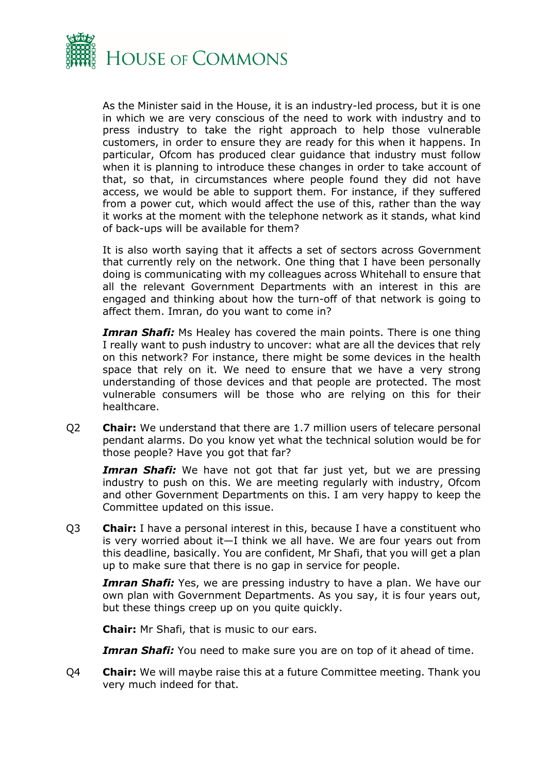

As the Minister said in the House, it is an industry-led process, but it is one in which we are very conscious of the need to work with industry and to press industry to take the right approach to help those vulnerable customers, in order to ensure they are ready for this when it happens. In particular, Ofcom has produced clear guidance that industry must follow when it is planning to introduce these changes in order to take account of that, so that, in circumstances where people found they did not have access, we would be able to support them. For instance, if they suffered from a power cut, which would affect the use of this, rather than the way it works at the moment with the telephone network as it stands, what kind of back-ups will be available for them?

It is also worth saying that it affects a set of sectors across Government that currently rely on the network. One thing that I have been personally doing is communicating with my colleagues across Whitehall to ensure that all the relevant Government Departments with an interest in this are engaged and thinking about how the turn-off of that network is going to affect them. Imran, do you want to come in?

*Imran Shafi:* Ms Healey has covered the main points. There is one thing I really want to push industry to uncover: what are all the devices that rely on this network? For instance, there might be some devices in the health space that rely on it. We need to ensure that we have a very strong understanding of those devices and that people are protected. The most vulnerable consumers will be those who are relying on this for their healthcare.

Q2 **Chair:** We understand that there are 1.7 million users of telecare personal pendant alarms. Do you know yet what the technical solution would be for those people? Have you got that far?

*Imran Shafi:* We have not got that far just yet, but we are pressing industry to push on this. We are meeting regularly with industry, Ofcom and other Government Departments on this. I am very happy to keep the Committee updated on this issue.

Q3 **Chair:** I have a personal interest in this, because I have a constituent who is very worried about it—I think we all have. We are four years out from this deadline, basically. You are confident, Mr Shafi, that you will get a plan up to make sure that there is no gap in service for people.

**Imran Shafi:** Yes, we are pressing industry to have a plan. We have our own plan with Government Departments. As you say, it is four years out, but these things creep up on you quite quickly.

**Chair:** Mr Shafi, that is music to our ears.

*Imran Shafi:* You need to make sure you are on top of it ahead of time.

Q4 **Chair:** We will maybe raise this at a future Committee meeting. Thank you very much indeed for that.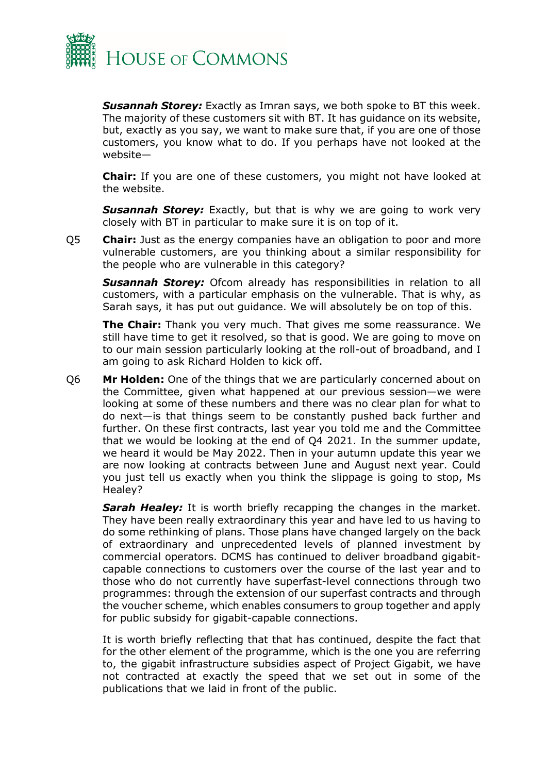

*Susannah Storey:* Exactly as Imran says, we both spoke to BT this week. The majority of these customers sit with BT. It has guidance on its website, but, exactly as you say, we want to make sure that, if you are one of those customers, you know what to do. If you perhaps have not looked at the website—

**Chair:** If you are one of these customers, you might not have looked at the website.

**Susannah Storey:** Exactly, but that is why we are going to work very closely with BT in particular to make sure it is on top of it.

Q5 **Chair:** Just as the energy companies have an obligation to poor and more vulnerable customers, are you thinking about a similar responsibility for the people who are vulnerable in this category?

**Susannah Storey:** Ofcom already has responsibilities in relation to all customers, with a particular emphasis on the vulnerable. That is why, as Sarah says, it has put out guidance. We will absolutely be on top of this.

**The Chair:** Thank you very much. That gives me some reassurance. We still have time to get it resolved, so that is good. We are going to move on to our main session particularly looking at the roll-out of broadband, and I am going to ask Richard Holden to kick off.

Q6 **Mr Holden:** One of the things that we are particularly concerned about on the Committee, given what happened at our previous session—we were looking at some of these numbers and there was no clear plan for what to do next—is that things seem to be constantly pushed back further and further. On these first contracts, last year you told me and the Committee that we would be looking at the end of Q4 2021. In the summer update, we heard it would be May 2022. Then in your autumn update this year we are now looking at contracts between June and August next year. Could you just tell us exactly when you think the slippage is going to stop, Ms Healey?

*Sarah Healey:* It is worth briefly recapping the changes in the market. They have been really extraordinary this year and have led to us having to do some rethinking of plans. Those plans have changed largely on the back of extraordinary and unprecedented levels of planned investment by commercial operators. DCMS has continued to deliver broadband gigabitcapable connections to customers over the course of the last year and to those who do not currently have superfast-level connections through two programmes: through the extension of our superfast contracts and through the voucher scheme, which enables consumers to group together and apply for public subsidy for gigabit-capable connections.

It is worth briefly reflecting that that has continued, despite the fact that for the other element of the programme, which is the one you are referring to, the gigabit infrastructure subsidies aspect of Project Gigabit, we have not contracted at exactly the speed that we set out in some of the publications that we laid in front of the public.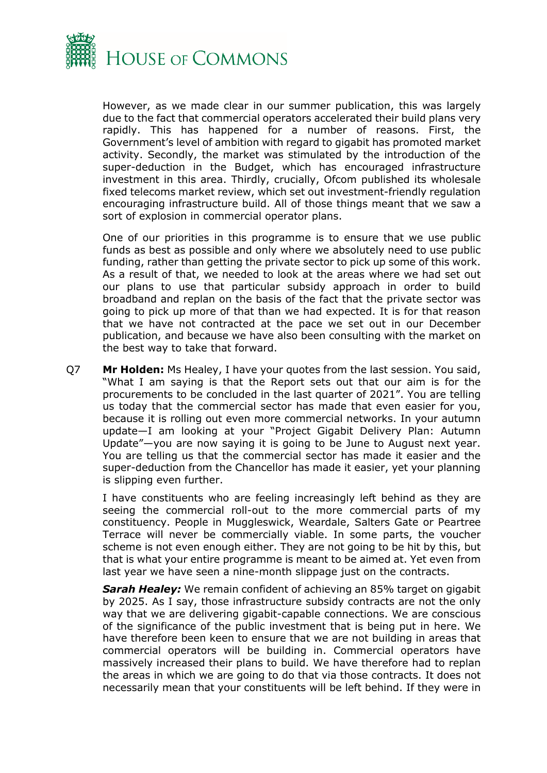

However, as we made clear in our summer publication, this was largely due to the fact that commercial operators accelerated their build plans very rapidly. This has happened for a number of reasons. First, the Government's level of ambition with regard to gigabit has promoted market activity. Secondly, the market was stimulated by the introduction of the super-deduction in the Budget, which has encouraged infrastructure investment in this area. Thirdly, crucially, Ofcom published its wholesale fixed telecoms market review, which set out investment-friendly regulation encouraging infrastructure build. All of those things meant that we saw a sort of explosion in commercial operator plans.

One of our priorities in this programme is to ensure that we use public funds as best as possible and only where we absolutely need to use public funding, rather than getting the private sector to pick up some of this work. As a result of that, we needed to look at the areas where we had set out our plans to use that particular subsidy approach in order to build broadband and replan on the basis of the fact that the private sector was going to pick up more of that than we had expected. It is for that reason that we have not contracted at the pace we set out in our December publication, and because we have also been consulting with the market on the best way to take that forward.

Q7 **Mr Holden:** Ms Healey, I have your quotes from the last session. You said, "What I am saying is that the Report sets out that our aim is for the procurements to be concluded in the last quarter of 2021". You are telling us today that the commercial sector has made that even easier for you, because it is rolling out even more commercial networks. In your autumn update—I am looking at your "Project Gigabit Delivery Plan: Autumn Update"—you are now saying it is going to be June to August next year. You are telling us that the commercial sector has made it easier and the super-deduction from the Chancellor has made it easier, yet your planning is slipping even further.

I have constituents who are feeling increasingly left behind as they are seeing the commercial roll-out to the more commercial parts of my constituency. People in Muggleswick, Weardale, Salters Gate or Peartree Terrace will never be commercially viable. In some parts, the voucher scheme is not even enough either. They are not going to be hit by this, but that is what your entire programme is meant to be aimed at. Yet even from last year we have seen a nine-month slippage just on the contracts.

*Sarah Healey:* We remain confident of achieving an 85% target on gigabit by 2025. As I say, those infrastructure subsidy contracts are not the only way that we are delivering gigabit-capable connections. We are conscious of the significance of the public investment that is being put in here. We have therefore been keen to ensure that we are not building in areas that commercial operators will be building in. Commercial operators have massively increased their plans to build. We have therefore had to replan the areas in which we are going to do that via those contracts. It does not necessarily mean that your constituents will be left behind. If they were in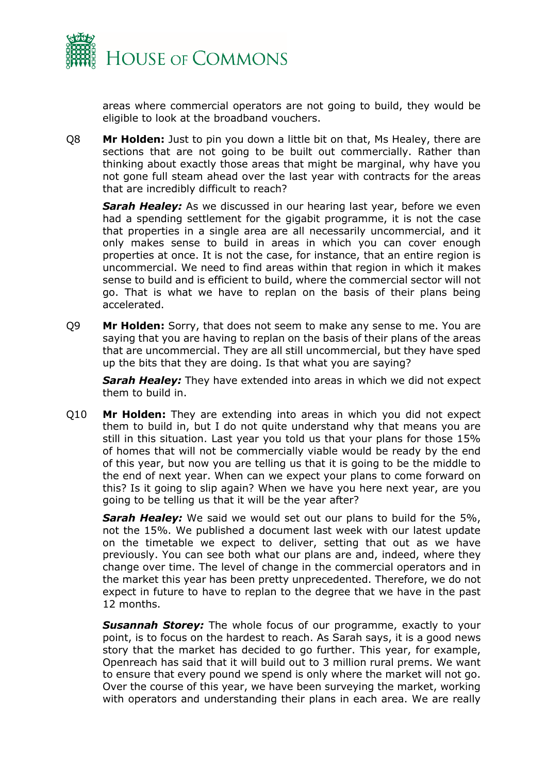

areas where commercial operators are not going to build, they would be eligible to look at the broadband vouchers.

Q8 **Mr Holden:** Just to pin you down a little bit on that, Ms Healey, there are sections that are not going to be built out commercially. Rather than thinking about exactly those areas that might be marginal, why have you not gone full steam ahead over the last year with contracts for the areas that are incredibly difficult to reach?

**Sarah Healey:** As we discussed in our hearing last year, before we even had a spending settlement for the gigabit programme, it is not the case that properties in a single area are all necessarily uncommercial, and it only makes sense to build in areas in which you can cover enough properties at once. It is not the case, for instance, that an entire region is uncommercial. We need to find areas within that region in which it makes sense to build and is efficient to build, where the commercial sector will not go. That is what we have to replan on the basis of their plans being accelerated.

Q9 **Mr Holden:** Sorry, that does not seem to make any sense to me. You are saying that you are having to replan on the basis of their plans of the areas that are uncommercial. They are all still uncommercial, but they have sped up the bits that they are doing. Is that what you are saying?

*Sarah Healey:* They have extended into areas in which we did not expect them to build in.

Q10 **Mr Holden:** They are extending into areas in which you did not expect them to build in, but I do not quite understand why that means you are still in this situation. Last year you told us that your plans for those 15% of homes that will not be commercially viable would be ready by the end of this year, but now you are telling us that it is going to be the middle to the end of next year. When can we expect your plans to come forward on this? Is it going to slip again? When we have you here next year, are you going to be telling us that it will be the year after?

*Sarah Healey:* We said we would set out our plans to build for the 5%, not the 15%. We published a document last week with our latest update on the timetable we expect to deliver, setting that out as we have previously. You can see both what our plans are and, indeed, where they change over time. The level of change in the commercial operators and in the market this year has been pretty unprecedented. Therefore, we do not expect in future to have to replan to the degree that we have in the past 12 months.

**Susannah Storey:** The whole focus of our programme, exactly to your point, is to focus on the hardest to reach. As Sarah says, it is a good news story that the market has decided to go further. This year, for example, Openreach has said that it will build out to 3 million rural prems. We want to ensure that every pound we spend is only where the market will not go. Over the course of this year, we have been surveying the market, working with operators and understanding their plans in each area. We are really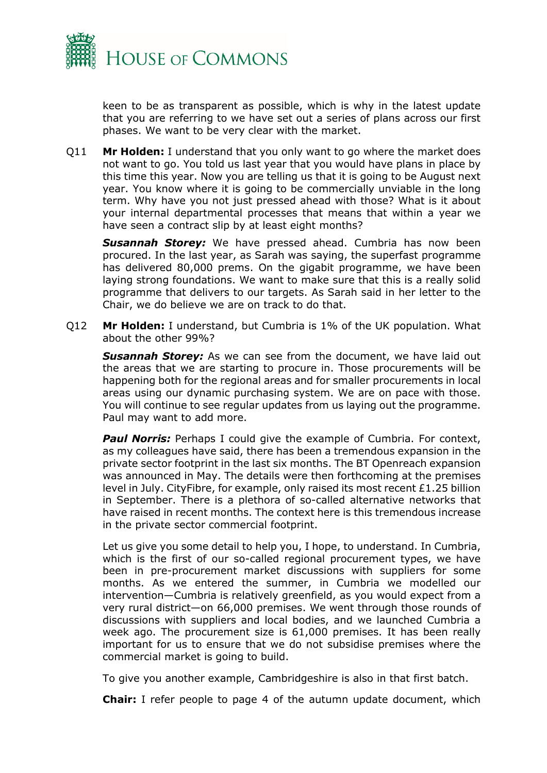

keen to be as transparent as possible, which is why in the latest update that you are referring to we have set out a series of plans across our first phases. We want to be very clear with the market.

Q11 **Mr Holden:** I understand that you only want to go where the market does not want to go. You told us last year that you would have plans in place by this time this year. Now you are telling us that it is going to be August next year. You know where it is going to be commercially unviable in the long term. Why have you not just pressed ahead with those? What is it about your internal departmental processes that means that within a year we have seen a contract slip by at least eight months?

*Susannah Storey:* We have pressed ahead. Cumbria has now been procured. In the last year, as Sarah was saying, the superfast programme has delivered 80,000 prems. On the gigabit programme, we have been laying strong foundations. We want to make sure that this is a really solid programme that delivers to our targets. As Sarah said in her letter to the Chair, we do believe we are on track to do that.

Q12 **Mr Holden:** I understand, but Cumbria is 1% of the UK population. What about the other 99%?

**Susannah Storey:** As we can see from the document, we have laid out the areas that we are starting to procure in. Those procurements will be happening both for the regional areas and for smaller procurements in local areas using our dynamic purchasing system. We are on pace with those. You will continue to see regular updates from us laying out the programme. Paul may want to add more.

**Paul Norris:** Perhaps I could give the example of Cumbria. For context, as my colleagues have said, there has been a tremendous expansion in the private sector footprint in the last six months. The BT Openreach expansion was announced in May. The details were then forthcoming at the premises level in July. CityFibre, for example, only raised its most recent £1.25 billion in September. There is a plethora of so-called alternative networks that have raised in recent months. The context here is this tremendous increase in the private sector commercial footprint.

Let us give you some detail to help you, I hope, to understand. In Cumbria, which is the first of our so-called regional procurement types, we have been in pre-procurement market discussions with suppliers for some months. As we entered the summer, in Cumbria we modelled our intervention—Cumbria is relatively greenfield, as you would expect from a very rural district—on 66,000 premises. We went through those rounds of discussions with suppliers and local bodies, and we launched Cumbria a week ago. The procurement size is 61,000 premises. It has been really important for us to ensure that we do not subsidise premises where the commercial market is going to build.

To give you another example, Cambridgeshire is also in that first batch.

**Chair:** I refer people to page 4 of the autumn update document, which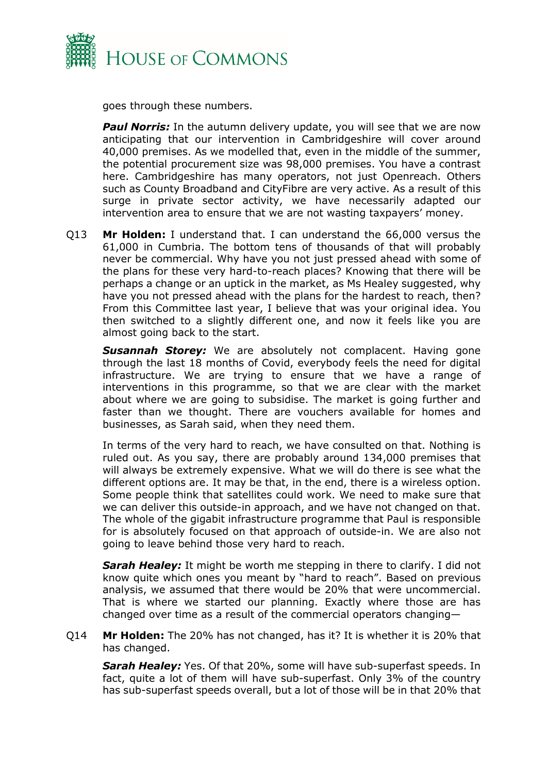

goes through these numbers.

**Paul Norris:** In the autumn delivery update, you will see that we are now anticipating that our intervention in Cambridgeshire will cover around 40,000 premises. As we modelled that, even in the middle of the summer, the potential procurement size was 98,000 premises. You have a contrast here. Cambridgeshire has many operators, not just Openreach. Others such as County Broadband and CityFibre are very active. As a result of this surge in private sector activity, we have necessarily adapted our intervention area to ensure that we are not wasting taxpayers' money.

Q13 **Mr Holden:** I understand that. I can understand the 66,000 versus the 61,000 in Cumbria. The bottom tens of thousands of that will probably never be commercial. Why have you not just pressed ahead with some of the plans for these very hard-to-reach places? Knowing that there will be perhaps a change or an uptick in the market, as Ms Healey suggested, why have you not pressed ahead with the plans for the hardest to reach, then? From this Committee last year, I believe that was your original idea. You then switched to a slightly different one, and now it feels like you are almost going back to the start.

**Susannah Storey:** We are absolutely not complacent. Having gone through the last 18 months of Covid, everybody feels the need for digital infrastructure. We are trying to ensure that we have a range of interventions in this programme, so that we are clear with the market about where we are going to subsidise. The market is going further and faster than we thought. There are vouchers available for homes and businesses, as Sarah said, when they need them.

In terms of the very hard to reach, we have consulted on that. Nothing is ruled out. As you say, there are probably around 134,000 premises that will always be extremely expensive. What we will do there is see what the different options are. It may be that, in the end, there is a wireless option. Some people think that satellites could work. We need to make sure that we can deliver this outside-in approach, and we have not changed on that. The whole of the gigabit infrastructure programme that Paul is responsible for is absolutely focused on that approach of outside-in. We are also not going to leave behind those very hard to reach.

**Sarah Healey:** It might be worth me stepping in there to clarify. I did not know quite which ones you meant by "hard to reach". Based on previous analysis, we assumed that there would be 20% that were uncommercial. That is where we started our planning. Exactly where those are has changed over time as a result of the commercial operators changing—

Q14 **Mr Holden:** The 20% has not changed, has it? It is whether it is 20% that has changed.

*Sarah Healey:* Yes. Of that 20%, some will have sub-superfast speeds. In fact, quite a lot of them will have sub-superfast. Only 3% of the country has sub-superfast speeds overall, but a lot of those will be in that 20% that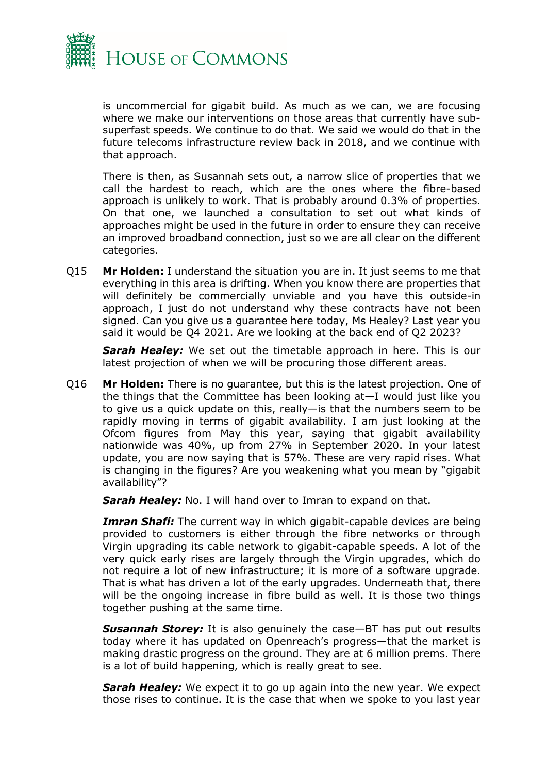

is uncommercial for gigabit build. As much as we can, we are focusing where we make our interventions on those areas that currently have subsuperfast speeds. We continue to do that. We said we would do that in the future telecoms infrastructure review back in 2018, and we continue with that approach.

There is then, as Susannah sets out, a narrow slice of properties that we call the hardest to reach, which are the ones where the fibre-based approach is unlikely to work. That is probably around 0.3% of properties. On that one, we launched a consultation to set out what kinds of approaches might be used in the future in order to ensure they can receive an improved broadband connection, just so we are all clear on the different categories.

Q15 **Mr Holden:** I understand the situation you are in. It just seems to me that everything in this area is drifting. When you know there are properties that will definitely be commercially unviable and you have this outside-in approach, I just do not understand why these contracts have not been signed. Can you give us a guarantee here today, Ms Healey? Last year you said it would be Q4 2021. Are we looking at the back end of Q2 2023?

**Sarah Healey:** We set out the timetable approach in here. This is our latest projection of when we will be procuring those different areas.

Q16 **Mr Holden:** There is no guarantee, but this is the latest projection. One of the things that the Committee has been looking at—I would just like you to give us a quick update on this, really—is that the numbers seem to be rapidly moving in terms of gigabit availability. I am just looking at the Ofcom figures from May this year, saying that gigabit availability nationwide was 40%, up from 27% in September 2020. In your latest update, you are now saying that is 57%. These are very rapid rises. What is changing in the figures? Are you weakening what you mean by "gigabit availability"?

**Sarah Healey:** No. I will hand over to Imran to expand on that.

**Imran Shafi:** The current way in which gigabit-capable devices are being provided to customers is either through the fibre networks or through Virgin upgrading its cable network to gigabit-capable speeds. A lot of the very quick early rises are largely through the Virgin upgrades, which do not require a lot of new infrastructure; it is more of a software upgrade. That is what has driven a lot of the early upgrades. Underneath that, there will be the ongoing increase in fibre build as well. It is those two things together pushing at the same time.

*Susannah Storey:* It is also genuinely the case—BT has put out results today where it has updated on Openreach's progress—that the market is making drastic progress on the ground. They are at 6 million prems. There is a lot of build happening, which is really great to see.

**Sarah Healey:** We expect it to go up again into the new year. We expect those rises to continue. It is the case that when we spoke to you last year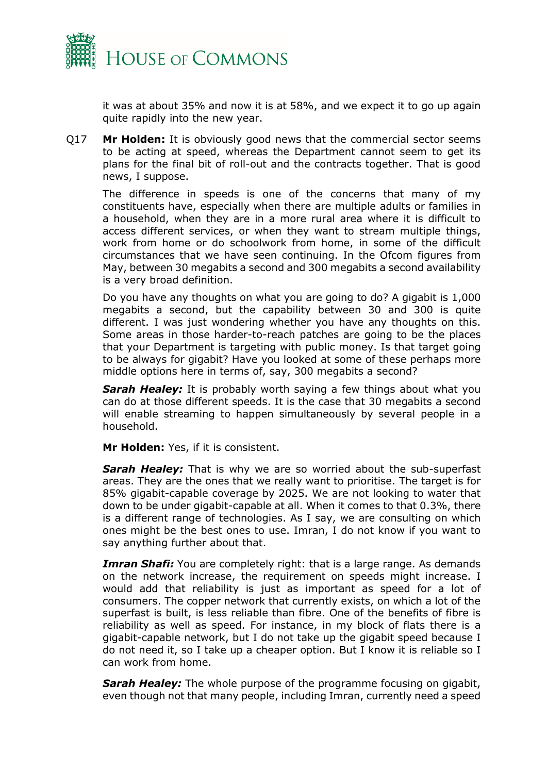

it was at about 35% and now it is at 58%, and we expect it to go up again quite rapidly into the new year.

Q17 **Mr Holden:** It is obviously good news that the commercial sector seems to be acting at speed, whereas the Department cannot seem to get its plans for the final bit of roll-out and the contracts together. That is good news, I suppose.

The difference in speeds is one of the concerns that many of my constituents have, especially when there are multiple adults or families in a household, when they are in a more rural area where it is difficult to access different services, or when they want to stream multiple things, work from home or do schoolwork from home, in some of the difficult circumstances that we have seen continuing. In the Ofcom figures from May, between 30 megabits a second and 300 megabits a second availability is a very broad definition.

Do you have any thoughts on what you are going to do? A gigabit is 1,000 megabits a second, but the capability between 30 and 300 is quite different. I was just wondering whether you have any thoughts on this. Some areas in those harder-to-reach patches are going to be the places that your Department is targeting with public money. Is that target going to be always for gigabit? Have you looked at some of these perhaps more middle options here in terms of, say, 300 megabits a second?

**Sarah Healey:** It is probably worth saying a few things about what you can do at those different speeds. It is the case that 30 megabits a second will enable streaming to happen simultaneously by several people in a household.

**Mr Holden:** Yes, if it is consistent.

**Sarah Healey:** That is why we are so worried about the sub-superfast areas. They are the ones that we really want to prioritise. The target is for 85% gigabit-capable coverage by 2025. We are not looking to water that down to be under gigabit-capable at all. When it comes to that 0.3%, there is a different range of technologies. As I say, we are consulting on which ones might be the best ones to use. Imran, I do not know if you want to say anything further about that.

*Imran Shafi:* You are completely right: that is a large range. As demands on the network increase, the requirement on speeds might increase. I would add that reliability is just as important as speed for a lot of consumers. The copper network that currently exists, on which a lot of the superfast is built, is less reliable than fibre. One of the benefits of fibre is reliability as well as speed. For instance, in my block of flats there is a gigabit-capable network, but I do not take up the gigabit speed because I do not need it, so I take up a cheaper option. But I know it is reliable so I can work from home.

*Sarah Healey:* The whole purpose of the programme focusing on gigabit, even though not that many people, including Imran, currently need a speed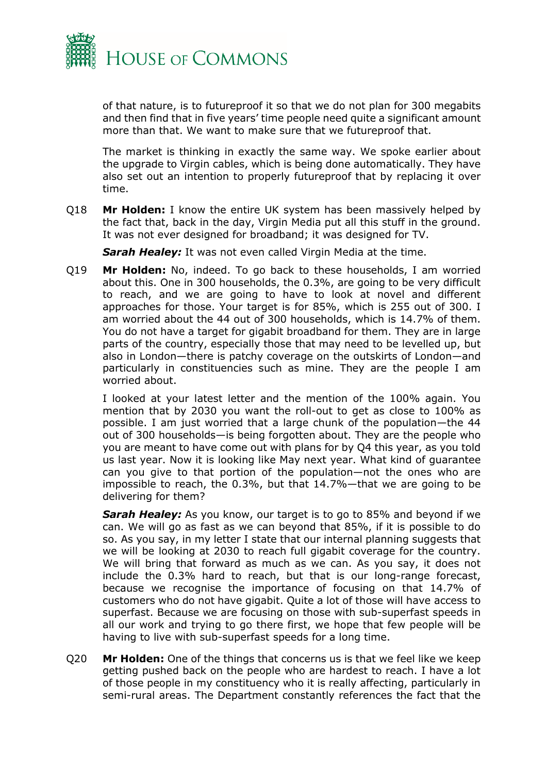

of that nature, is to futureproof it so that we do not plan for 300 megabits and then find that in five years' time people need quite a significant amount more than that. We want to make sure that we futureproof that.

The market is thinking in exactly the same way. We spoke earlier about the upgrade to Virgin cables, which is being done automatically. They have also set out an intention to properly futureproof that by replacing it over time.

Q18 **Mr Holden:** I know the entire UK system has been massively helped by the fact that, back in the day, Virgin Media put all this stuff in the ground. It was not ever designed for broadband; it was designed for TV.

*Sarah Healey:* It was not even called Virgin Media at the time.

Q19 **Mr Holden:** No, indeed. To go back to these households, I am worried about this. One in 300 households, the 0.3%, are going to be very difficult to reach, and we are going to have to look at novel and different approaches for those. Your target is for 85%, which is 255 out of 300. I am worried about the 44 out of 300 households, which is 14.7% of them. You do not have a target for gigabit broadband for them. They are in large parts of the country, especially those that may need to be levelled up, but also in London—there is patchy coverage on the outskirts of London—and particularly in constituencies such as mine. They are the people I am worried about.

I looked at your latest letter and the mention of the 100% again. You mention that by 2030 you want the roll-out to get as close to 100% as possible. I am just worried that a large chunk of the population—the 44 out of 300 households—is being forgotten about. They are the people who you are meant to have come out with plans for by Q4 this year, as you told us last year. Now it is looking like May next year. What kind of guarantee can you give to that portion of the population—not the ones who are impossible to reach, the 0.3%, but that 14.7%—that we are going to be delivering for them?

*Sarah Healey:* As you know, our target is to go to 85% and beyond if we can. We will go as fast as we can beyond that 85%, if it is possible to do so. As you say, in my letter I state that our internal planning suggests that we will be looking at 2030 to reach full gigabit coverage for the country. We will bring that forward as much as we can. As you say, it does not include the 0.3% hard to reach, but that is our long-range forecast, because we recognise the importance of focusing on that 14.7% of customers who do not have gigabit. Quite a lot of those will have access to superfast. Because we are focusing on those with sub-superfast speeds in all our work and trying to go there first, we hope that few people will be having to live with sub-superfast speeds for a long time.

Q20 **Mr Holden:** One of the things that concerns us is that we feel like we keep getting pushed back on the people who are hardest to reach. I have a lot of those people in my constituency who it is really affecting, particularly in semi-rural areas. The Department constantly references the fact that the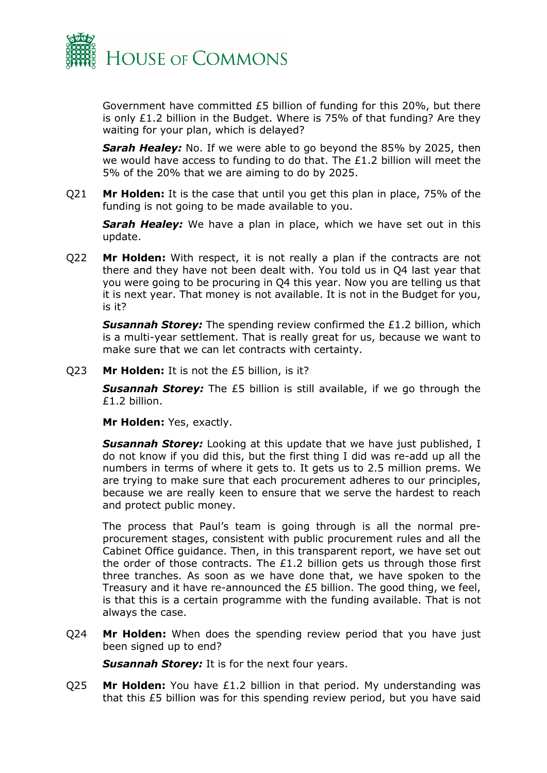

Government have committed £5 billion of funding for this 20%, but there is only £1.2 billion in the Budget. Where is 75% of that funding? Are they waiting for your plan, which is delayed?

*Sarah Healey:* No. If we were able to go beyond the 85% by 2025, then we would have access to funding to do that. The £1.2 billion will meet the 5% of the 20% that we are aiming to do by 2025.

Q21 **Mr Holden:** It is the case that until you get this plan in place, 75% of the funding is not going to be made available to you.

*Sarah Healey:* We have a plan in place, which we have set out in this update.

Q22 **Mr Holden:** With respect, it is not really a plan if the contracts are not there and they have not been dealt with. You told us in Q4 last year that you were going to be procuring in Q4 this year. Now you are telling us that it is next year. That money is not available. It is not in the Budget for you, is it?

*Susannah Storey:* The spending review confirmed the £1.2 billion, which is a multi-year settlement. That is really great for us, because we want to make sure that we can let contracts with certainty.

Q23 **Mr Holden:** It is not the £5 billion, is it?

**Susannah Storey:** The £5 billion is still available, if we go through the £1.2 billion.

**Mr Holden:** Yes, exactly.

*Susannah Storey:* Looking at this update that we have just published, I do not know if you did this, but the first thing I did was re-add up all the numbers in terms of where it gets to. It gets us to 2.5 million prems. We are trying to make sure that each procurement adheres to our principles, because we are really keen to ensure that we serve the hardest to reach and protect public money.

The process that Paul's team is going through is all the normal preprocurement stages, consistent with public procurement rules and all the Cabinet Office guidance. Then, in this transparent report, we have set out the order of those contracts. The  $E1.2$  billion gets us through those first three tranches. As soon as we have done that, we have spoken to the Treasury and it have re-announced the £5 billion. The good thing, we feel, is that this is a certain programme with the funding available. That is not always the case.

Q24 **Mr Holden:** When does the spending review period that you have just been signed up to end?

**Susannah Storey:** It is for the next four years.

Q25 **Mr Holden:** You have £1.2 billion in that period. My understanding was that this £5 billion was for this spending review period, but you have said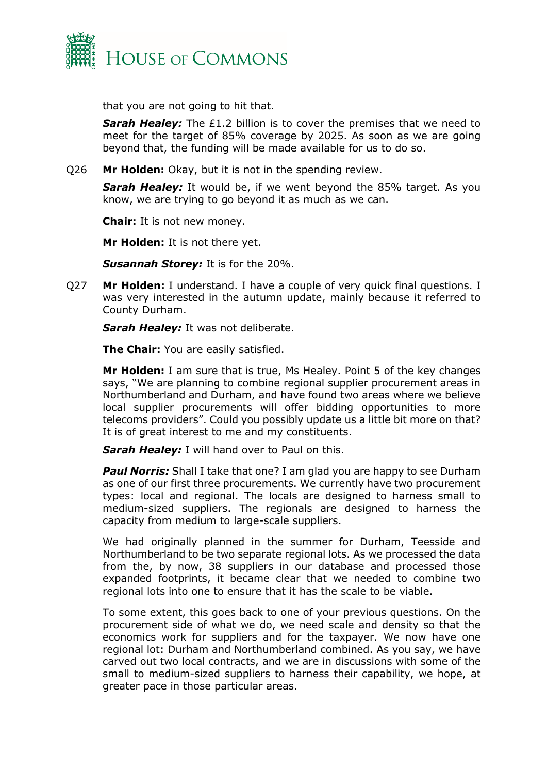

that you are not going to hit that.

**Sarah Healey:** The £1.2 billion is to cover the premises that we need to meet for the target of 85% coverage by 2025. As soon as we are going beyond that, the funding will be made available for us to do so.

Q26 **Mr Holden:** Okay, but it is not in the spending review.

**Sarah Healey:** It would be, if we went beyond the 85% target. As you know, we are trying to go beyond it as much as we can.

**Chair:** It is not new money.

**Mr Holden:** It is not there yet.

*Susannah Storey:* It is for the 20%.

Q27 **Mr Holden:** I understand. I have a couple of very quick final questions. I was very interested in the autumn update, mainly because it referred to County Durham.

**Sarah Healey:** It was not deliberate.

**The Chair:** You are easily satisfied.

**Mr Holden:** I am sure that is true, Ms Healey. Point 5 of the key changes says, "We are planning to combine regional supplier procurement areas in Northumberland and Durham, and have found two areas where we believe local supplier procurements will offer bidding opportunities to more telecoms providers". Could you possibly update us a little bit more on that? It is of great interest to me and my constituents.

**Sarah Healey:** I will hand over to Paul on this.

**Paul Norris:** Shall I take that one? I am glad you are happy to see Durham as one of our first three procurements. We currently have two procurement types: local and regional. The locals are designed to harness small to medium-sized suppliers. The regionals are designed to harness the capacity from medium to large-scale suppliers.

We had originally planned in the summer for Durham, Teesside and Northumberland to be two separate regional lots. As we processed the data from the, by now, 38 suppliers in our database and processed those expanded footprints, it became clear that we needed to combine two regional lots into one to ensure that it has the scale to be viable.

To some extent, this goes back to one of your previous questions. On the procurement side of what we do, we need scale and density so that the economics work for suppliers and for the taxpayer. We now have one regional lot: Durham and Northumberland combined. As you say, we have carved out two local contracts, and we are in discussions with some of the small to medium-sized suppliers to harness their capability, we hope, at greater pace in those particular areas.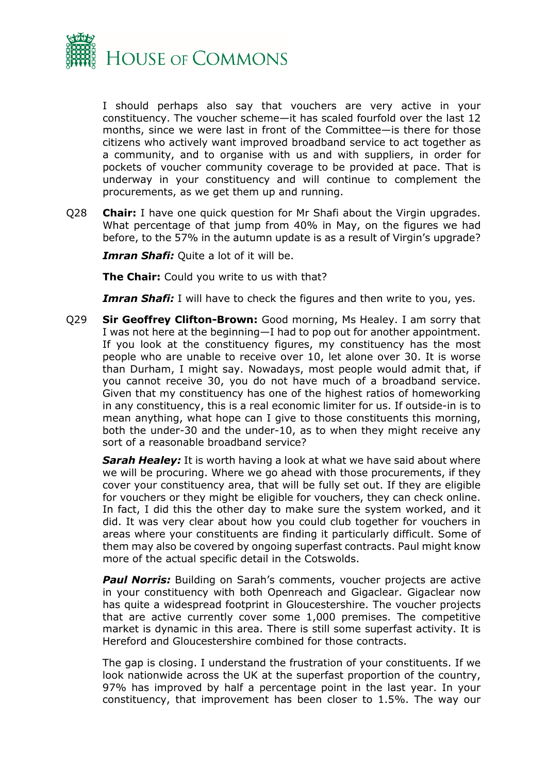

I should perhaps also say that vouchers are very active in your constituency. The voucher scheme—it has scaled fourfold over the last 12 months, since we were last in front of the Committee—is there for those citizens who actively want improved broadband service to act together as a community, and to organise with us and with suppliers, in order for pockets of voucher community coverage to be provided at pace. That is underway in your constituency and will continue to complement the procurements, as we get them up and running.

Q28 **Chair:** I have one quick question for Mr Shafi about the Virgin upgrades. What percentage of that jump from 40% in May, on the figures we had before, to the 57% in the autumn update is as a result of Virgin's upgrade?

*Imran Shafi:* Quite a lot of it will be.

**The Chair:** Could you write to us with that?

**Imran Shafi:** I will have to check the figures and then write to you, yes.

Q29 **Sir Geoffrey Clifton-Brown:** Good morning, Ms Healey. I am sorry that I was not here at the beginning—I had to pop out for another appointment. If you look at the constituency figures, my constituency has the most people who are unable to receive over 10, let alone over 30. It is worse than Durham, I might say. Nowadays, most people would admit that, if you cannot receive 30, you do not have much of a broadband service. Given that my constituency has one of the highest ratios of homeworking in any constituency, this is a real economic limiter for us. If outside-in is to mean anything, what hope can I give to those constituents this morning, both the under-30 and the under-10, as to when they might receive any sort of a reasonable broadband service?

*Sarah Healey:* It is worth having a look at what we have said about where we will be procuring. Where we go ahead with those procurements, if they cover your constituency area, that will be fully set out. If they are eligible for vouchers or they might be eligible for vouchers, they can check online. In fact, I did this the other day to make sure the system worked, and it did. It was very clear about how you could club together for vouchers in areas where your constituents are finding it particularly difficult. Some of them may also be covered by ongoing superfast contracts. Paul might know more of the actual specific detail in the Cotswolds.

**Paul Norris:** Building on Sarah's comments, voucher projects are active in your constituency with both Openreach and Gigaclear. Gigaclear now has quite a widespread footprint in Gloucestershire. The voucher projects that are active currently cover some 1,000 premises. The competitive market is dynamic in this area. There is still some superfast activity. It is Hereford and Gloucestershire combined for those contracts.

The gap is closing. I understand the frustration of your constituents. If we look nationwide across the UK at the superfast proportion of the country, 97% has improved by half a percentage point in the last year. In your constituency, that improvement has been closer to 1.5%. The way our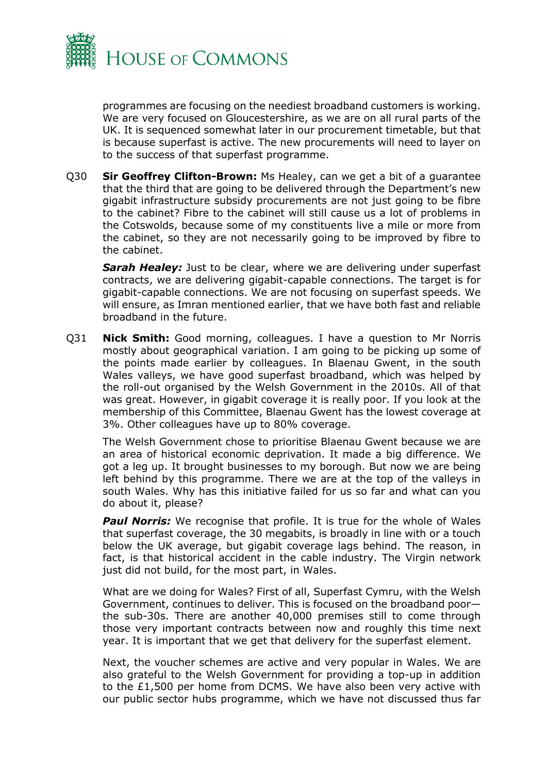

programmes are focusing on the neediest broadband customers is working. We are very focused on Gloucestershire, as we are on all rural parts of the UK. It is sequenced somewhat later in our procurement timetable, but that is because superfast is active. The new procurements will need to layer on to the success of that superfast programme.

Q30 **Sir Geoffrey Clifton-Brown:** Ms Healey, can we get a bit of a guarantee that the third that are going to be delivered through the Department's new gigabit infrastructure subsidy procurements are not just going to be fibre to the cabinet? Fibre to the cabinet will still cause us a lot of problems in the Cotswolds, because some of my constituents live a mile or more from the cabinet, so they are not necessarily going to be improved by fibre to the cabinet.

**Sarah Healey:** Just to be clear, where we are delivering under superfast contracts, we are delivering gigabit-capable connections. The target is for gigabit-capable connections. We are not focusing on superfast speeds. We will ensure, as Imran mentioned earlier, that we have both fast and reliable broadband in the future.

Q31 **Nick Smith:** Good morning, colleagues. I have a question to Mr Norris mostly about geographical variation. I am going to be picking up some of the points made earlier by colleagues. In Blaenau Gwent, in the south Wales valleys, we have good superfast broadband, which was helped by the roll-out organised by the Welsh Government in the 2010s. All of that was great. However, in gigabit coverage it is really poor. If you look at the membership of this Committee, Blaenau Gwent has the lowest coverage at 3%. Other colleagues have up to 80% coverage.

The Welsh Government chose to prioritise Blaenau Gwent because we are an area of historical economic deprivation. It made a big difference. We got a leg up. It brought businesses to my borough. But now we are being left behind by this programme. There we are at the top of the valleys in south Wales. Why has this initiative failed for us so far and what can you do about it, please?

**Paul Norris:** We recognise that profile. It is true for the whole of Wales that superfast coverage, the 30 megabits, is broadly in line with or a touch below the UK average, but gigabit coverage lags behind. The reason, in fact, is that historical accident in the cable industry. The Virgin network just did not build, for the most part, in Wales.

What are we doing for Wales? First of all, Superfast Cymru, with the Welsh Government, continues to deliver. This is focused on the broadband poor the sub-30s. There are another 40,000 premises still to come through those very important contracts between now and roughly this time next year. It is important that we get that delivery for the superfast element.

Next, the voucher schemes are active and very popular in Wales. We are also grateful to the Welsh Government for providing a top-up in addition to the £1,500 per home from DCMS. We have also been very active with our public sector hubs programme, which we have not discussed thus far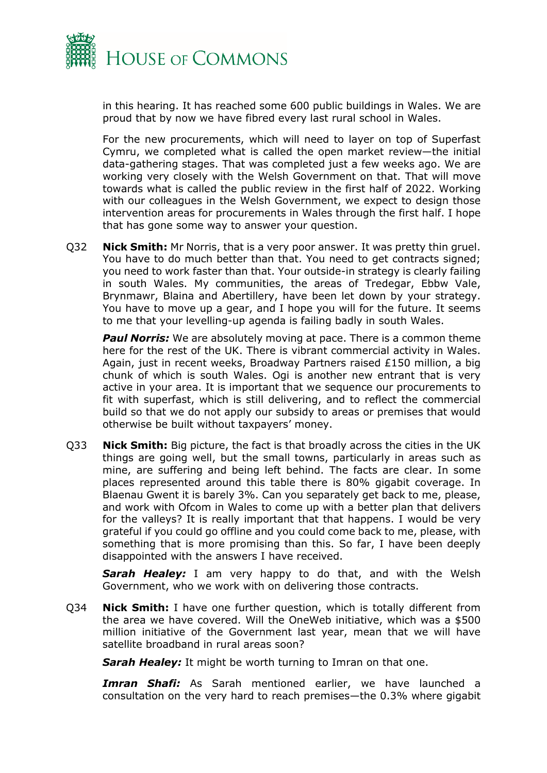

in this hearing. It has reached some 600 public buildings in Wales. We are proud that by now we have fibred every last rural school in Wales.

For the new procurements, which will need to layer on top of Superfast Cymru, we completed what is called the open market review—the initial data-gathering stages. That was completed just a few weeks ago. We are working very closely with the Welsh Government on that. That will move towards what is called the public review in the first half of 2022. Working with our colleagues in the Welsh Government, we expect to design those intervention areas for procurements in Wales through the first half. I hope that has gone some way to answer your question.

Q32 **Nick Smith:** Mr Norris, that is a very poor answer. It was pretty thin gruel. You have to do much better than that. You need to get contracts signed; you need to work faster than that. Your outside-in strategy is clearly failing in south Wales. My communities, the areas of Tredegar, Ebbw Vale, Brynmawr, Blaina and Abertillery, have been let down by your strategy. You have to move up a gear, and I hope you will for the future. It seems to me that your levelling-up agenda is failing badly in south Wales.

**Paul Norris:** We are absolutely moving at pace. There is a common theme here for the rest of the UK. There is vibrant commercial activity in Wales. Again, just in recent weeks, Broadway Partners raised £150 million, a big chunk of which is south Wales. Ogi is another new entrant that is very active in your area. It is important that we sequence our procurements to fit with superfast, which is still delivering, and to reflect the commercial build so that we do not apply our subsidy to areas or premises that would otherwise be built without taxpayers' money.

Q33 **Nick Smith:** Big picture, the fact is that broadly across the cities in the UK things are going well, but the small towns, particularly in areas such as mine, are suffering and being left behind. The facts are clear. In some places represented around this table there is 80% gigabit coverage. In Blaenau Gwent it is barely 3%. Can you separately get back to me, please, and work with Ofcom in Wales to come up with a better plan that delivers for the valleys? It is really important that that happens. I would be very grateful if you could go offline and you could come back to me, please, with something that is more promising than this. So far, I have been deeply disappointed with the answers I have received.

*Sarah Healey:* I am very happy to do that, and with the Welsh Government, who we work with on delivering those contracts.

Q34 **Nick Smith:** I have one further question, which is totally different from the area we have covered. Will the OneWeb initiative, which was a \$500 million initiative of the Government last year, mean that we will have satellite broadband in rural areas soon?

**Sarah Healey:** It might be worth turning to Imran on that one.

*Imran Shafi:* As Sarah mentioned earlier, we have launched a consultation on the very hard to reach premises—the 0.3% where gigabit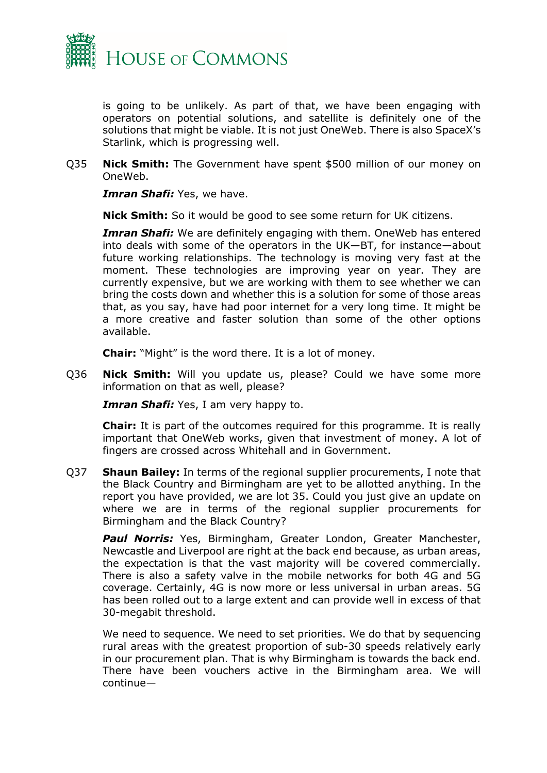

is going to be unlikely. As part of that, we have been engaging with operators on potential solutions, and satellite is definitely one of the solutions that might be viable. It is not just OneWeb. There is also SpaceX's Starlink, which is progressing well.

Q35 **Nick Smith:** The Government have spent \$500 million of our money on OneWeb.

*Imran Shafi: Yes, we have.* 

**Nick Smith:** So it would be good to see some return for UK citizens.

**Imran Shafi:** We are definitely engaging with them. OneWeb has entered into deals with some of the operators in the UK—BT, for instance—about future working relationships. The technology is moving very fast at the moment. These technologies are improving year on year. They are currently expensive, but we are working with them to see whether we can bring the costs down and whether this is a solution for some of those areas that, as you say, have had poor internet for a very long time. It might be a more creative and faster solution than some of the other options available.

**Chair:** "Might" is the word there. It is a lot of money.

Q36 **Nick Smith:** Will you update us, please? Could we have some more information on that as well, please?

*Imran Shafi:* Yes, I am very happy to.

**Chair:** It is part of the outcomes required for this programme. It is really important that OneWeb works, given that investment of money. A lot of fingers are crossed across Whitehall and in Government.

Q37 **Shaun Bailey:** In terms of the regional supplier procurements, I note that the Black Country and Birmingham are yet to be allotted anything. In the report you have provided, we are lot 35. Could you just give an update on where we are in terms of the regional supplier procurements for Birmingham and the Black Country?

*Paul Norris:* Yes, Birmingham, Greater London, Greater Manchester, Newcastle and Liverpool are right at the back end because, as urban areas, the expectation is that the vast majority will be covered commercially. There is also a safety valve in the mobile networks for both 4G and 5G coverage. Certainly, 4G is now more or less universal in urban areas. 5G has been rolled out to a large extent and can provide well in excess of that 30-megabit threshold.

We need to sequence. We need to set priorities. We do that by sequencing rural areas with the greatest proportion of sub-30 speeds relatively early in our procurement plan. That is why Birmingham is towards the back end. There have been vouchers active in the Birmingham area. We will continue—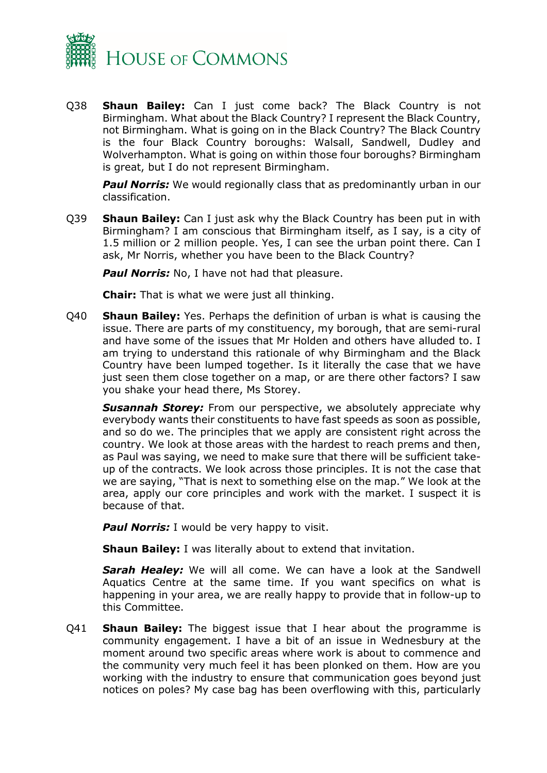

Q38 **Shaun Bailey:** Can I just come back? The Black Country is not Birmingham. What about the Black Country? I represent the Black Country, not Birmingham. What is going on in the Black Country? The Black Country is the four Black Country boroughs: Walsall, Sandwell, Dudley and Wolverhampton. What is going on within those four boroughs? Birmingham is great, but I do not represent Birmingham.

**Paul Norris:** We would regionally class that as predominantly urban in our classification.

Q39 **Shaun Bailey:** Can I just ask why the Black Country has been put in with Birmingham? I am conscious that Birmingham itself, as I say, is a city of 1.5 million or 2 million people. Yes, I can see the urban point there. Can I ask, Mr Norris, whether you have been to the Black Country?

**Paul Norris:** No, I have not had that pleasure.

**Chair:** That is what we were just all thinking.

Q40 **Shaun Bailey:** Yes. Perhaps the definition of urban is what is causing the issue. There are parts of my constituency, my borough, that are semi-rural and have some of the issues that Mr Holden and others have alluded to. I am trying to understand this rationale of why Birmingham and the Black Country have been lumped together. Is it literally the case that we have just seen them close together on a map, or are there other factors? I saw you shake your head there, Ms Storey.

**Susannah Storey:** From our perspective, we absolutely appreciate why everybody wants their constituents to have fast speeds as soon as possible, and so do we. The principles that we apply are consistent right across the country. We look at those areas with the hardest to reach prems and then, as Paul was saying, we need to make sure that there will be sufficient takeup of the contracts. We look across those principles. It is not the case that we are saying, "That is next to something else on the map." We look at the area, apply our core principles and work with the market. I suspect it is because of that.

**Paul Norris:** I would be very happy to visit.

**Shaun Bailey:** I was literally about to extend that invitation.

*Sarah Healey:* We will all come. We can have a look at the Sandwell Aquatics Centre at the same time. If you want specifics on what is happening in your area, we are really happy to provide that in follow-up to this Committee.

Q41 **Shaun Bailey:** The biggest issue that I hear about the programme is community engagement. I have a bit of an issue in Wednesbury at the moment around two specific areas where work is about to commence and the community very much feel it has been plonked on them. How are you working with the industry to ensure that communication goes beyond just notices on poles? My case bag has been overflowing with this, particularly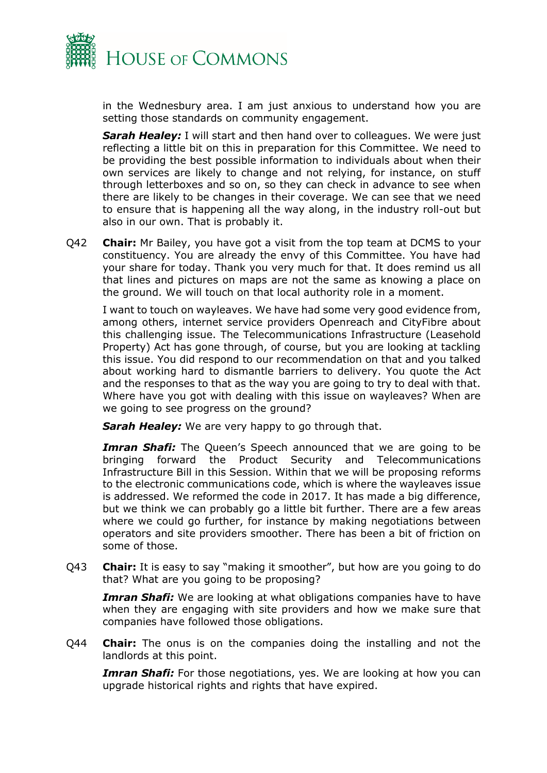

in the Wednesbury area. I am just anxious to understand how you are setting those standards on community engagement.

**Sarah Healey:** I will start and then hand over to colleagues. We were just reflecting a little bit on this in preparation for this Committee. We need to be providing the best possible information to individuals about when their own services are likely to change and not relying, for instance, on stuff through letterboxes and so on, so they can check in advance to see when there are likely to be changes in their coverage. We can see that we need to ensure that is happening all the way along, in the industry roll-out but also in our own. That is probably it.

Q42 **Chair:** Mr Bailey, you have got a visit from the top team at DCMS to your constituency. You are already the envy of this Committee. You have had your share for today. Thank you very much for that. It does remind us all that lines and pictures on maps are not the same as knowing a place on the ground. We will touch on that local authority role in a moment.

I want to touch on wayleaves. We have had some very good evidence from, among others, internet service providers Openreach and CityFibre about this challenging issue. The Telecommunications Infrastructure (Leasehold Property) Act has gone through, of course, but you are looking at tackling this issue. You did respond to our recommendation on that and you talked about working hard to dismantle barriers to delivery. You quote the Act and the responses to that as the way you are going to try to deal with that. Where have you got with dealing with this issue on wayleaves? When are we going to see progress on the ground?

*Sarah Healey:* We are very happy to go through that.

*Imran Shafi:* The Queen's Speech announced that we are going to be bringing forward the Product Security and Telecommunications Infrastructure Bill in this Session. Within that we will be proposing reforms to the electronic communications code, which is where the wayleaves issue is addressed. We reformed the code in 2017. It has made a big difference, but we think we can probably go a little bit further. There are a few areas where we could go further, for instance by making negotiations between operators and site providers smoother. There has been a bit of friction on some of those.

Q43 **Chair:** It is easy to say "making it smoother", but how are you going to do that? What are you going to be proposing?

**Imran Shafi:** We are looking at what obligations companies have to have when they are engaging with site providers and how we make sure that companies have followed those obligations.

Q44 **Chair:** The onus is on the companies doing the installing and not the landlords at this point.

*Imran Shafi:* For those negotiations, yes. We are looking at how you can upgrade historical rights and rights that have expired.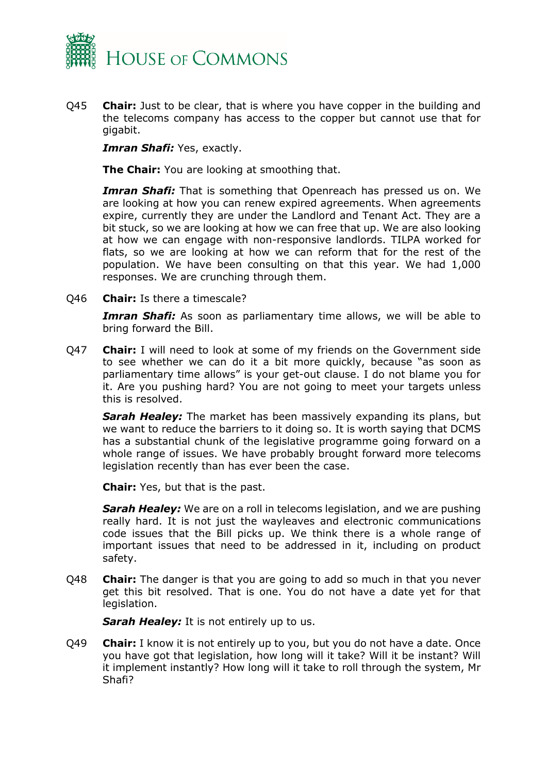

Q45 **Chair:** Just to be clear, that is where you have copper in the building and the telecoms company has access to the copper but cannot use that for gigabit.

*Imran Shafi:* Yes, exactly.

**The Chair:** You are looking at smoothing that.

**Imran Shafi:** That is something that Openreach has pressed us on. We are looking at how you can renew expired agreements. When agreements expire, currently they are under the Landlord and Tenant Act. They are a bit stuck, so we are looking at how we can free that up. We are also looking at how we can engage with non-responsive landlords. TILPA worked for flats, so we are looking at how we can reform that for the rest of the population. We have been consulting on that this year. We had 1,000 responses. We are crunching through them.

Q46 **Chair:** Is there a timescale?

*Imran Shafi:* As soon as parliamentary time allows, we will be able to bring forward the Bill.

Q47 **Chair:** I will need to look at some of my friends on the Government side to see whether we can do it a bit more quickly, because "as soon as parliamentary time allows" is your get-out clause. I do not blame you for it. Are you pushing hard? You are not going to meet your targets unless this is resolved.

*Sarah Healey:* The market has been massively expanding its plans, but we want to reduce the barriers to it doing so. It is worth saying that DCMS has a substantial chunk of the legislative programme going forward on a whole range of issues. We have probably brought forward more telecoms legislation recently than has ever been the case.

**Chair:** Yes, but that is the past.

*Sarah Healey:* We are on a roll in telecoms legislation, and we are pushing really hard. It is not just the wayleaves and electronic communications code issues that the Bill picks up. We think there is a whole range of important issues that need to be addressed in it, including on product safety.

Q48 **Chair:** The danger is that you are going to add so much in that you never get this bit resolved. That is one. You do not have a date yet for that legislation.

**Sarah Healey:** It is not entirely up to us.

Q49 **Chair:** I know it is not entirely up to you, but you do not have a date. Once you have got that legislation, how long will it take? Will it be instant? Will it implement instantly? How long will it take to roll through the system, Mr Shafi?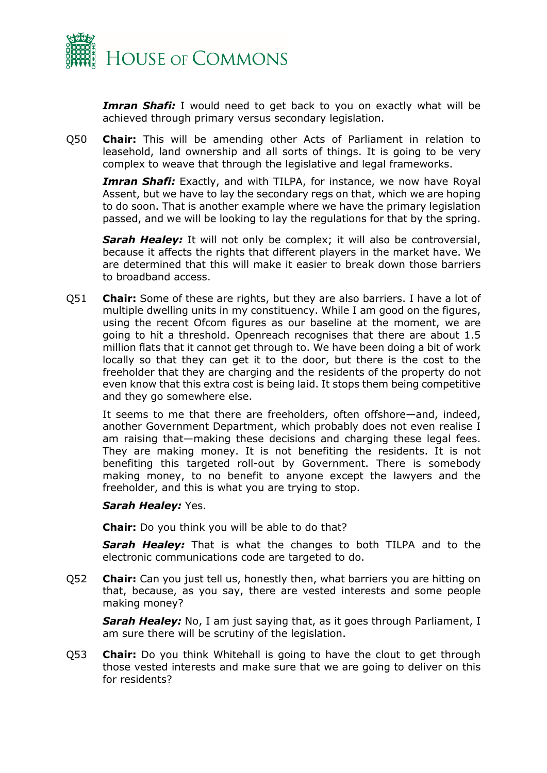

**Imran Shafi:** I would need to get back to you on exactly what will be achieved through primary versus secondary legislation.

Q50 **Chair:** This will be amending other Acts of Parliament in relation to leasehold, land ownership and all sorts of things. It is going to be very complex to weave that through the legislative and legal frameworks.

**Imran Shafi:** Exactly, and with TILPA, for instance, we now have Royal Assent, but we have to lay the secondary regs on that, which we are hoping to do soon. That is another example where we have the primary legislation passed, and we will be looking to lay the regulations for that by the spring.

**Sarah Healey:** It will not only be complex; it will also be controversial, because it affects the rights that different players in the market have. We are determined that this will make it easier to break down those barriers to broadband access.

Q51 **Chair:** Some of these are rights, but they are also barriers. I have a lot of multiple dwelling units in my constituency. While I am good on the figures, using the recent Ofcom figures as our baseline at the moment, we are going to hit a threshold. Openreach recognises that there are about 1.5 million flats that it cannot get through to. We have been doing a bit of work locally so that they can get it to the door, but there is the cost to the freeholder that they are charging and the residents of the property do not even know that this extra cost is being laid. It stops them being competitive and they go somewhere else.

It seems to me that there are freeholders, often offshore—and, indeed, another Government Department, which probably does not even realise I am raising that—making these decisions and charging these legal fees. They are making money. It is not benefiting the residents. It is not benefiting this targeted roll-out by Government. There is somebody making money, to no benefit to anyone except the lawyers and the freeholder, and this is what you are trying to stop.

#### *Sarah Healey:* Yes.

**Chair:** Do you think you will be able to do that?

**Sarah Healey:** That is what the changes to both TILPA and to the electronic communications code are targeted to do.

Q52 **Chair:** Can you just tell us, honestly then, what barriers you are hitting on that, because, as you say, there are vested interests and some people making money?

**Sarah Healey:** No, I am just saying that, as it goes through Parliament, I am sure there will be scrutiny of the legislation.

Q53 **Chair:** Do you think Whitehall is going to have the clout to get through those vested interests and make sure that we are going to deliver on this for residents?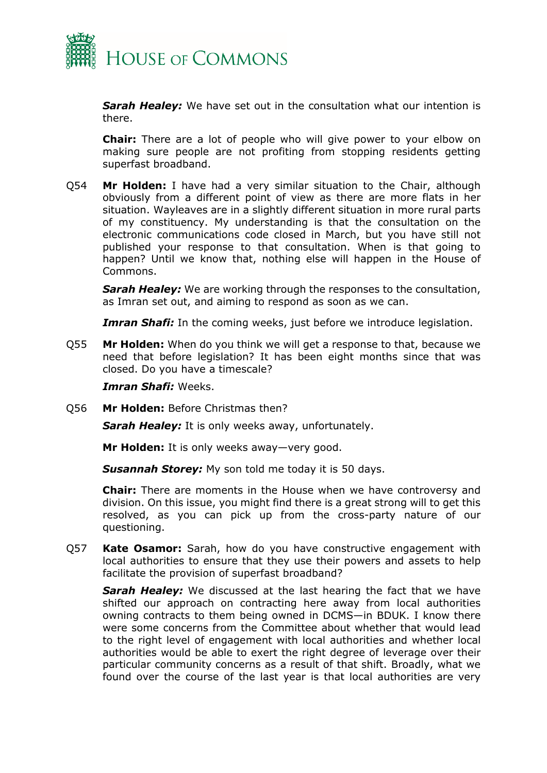

*Sarah Healey:* We have set out in the consultation what our intention is there.

**Chair:** There are a lot of people who will give power to your elbow on making sure people are not profiting from stopping residents getting superfast broadband.

Q54 **Mr Holden:** I have had a very similar situation to the Chair, although obviously from a different point of view as there are more flats in her situation. Wayleaves are in a slightly different situation in more rural parts of my constituency. My understanding is that the consultation on the electronic communications code closed in March, but you have still not published your response to that consultation. When is that going to happen? Until we know that, nothing else will happen in the House of Commons.

*Sarah Healey:* We are working through the responses to the consultation, as Imran set out, and aiming to respond as soon as we can.

**Imran Shafi:** In the coming weeks, just before we introduce legislation.

Q55 **Mr Holden:** When do you think we will get a response to that, because we need that before legislation? It has been eight months since that was closed. Do you have a timescale?

#### *Imran Shafi:* Weeks.

Q56 **Mr Holden:** Before Christmas then?

**Sarah Healey:** It is only weeks away, unfortunately.

**Mr Holden:** It is only weeks away—very good.

*Susannah Storey:* My son told me today it is 50 days.

**Chair:** There are moments in the House when we have controversy and division. On this issue, you might find there is a great strong will to get this resolved, as you can pick up from the cross-party nature of our questioning.

Q57 **Kate Osamor:** Sarah, how do you have constructive engagement with local authorities to ensure that they use their powers and assets to help facilitate the provision of superfast broadband?

*Sarah Healey:* We discussed at the last hearing the fact that we have shifted our approach on contracting here away from local authorities owning contracts to them being owned in DCMS—in BDUK. I know there were some concerns from the Committee about whether that would lead to the right level of engagement with local authorities and whether local authorities would be able to exert the right degree of leverage over their particular community concerns as a result of that shift. Broadly, what we found over the course of the last year is that local authorities are very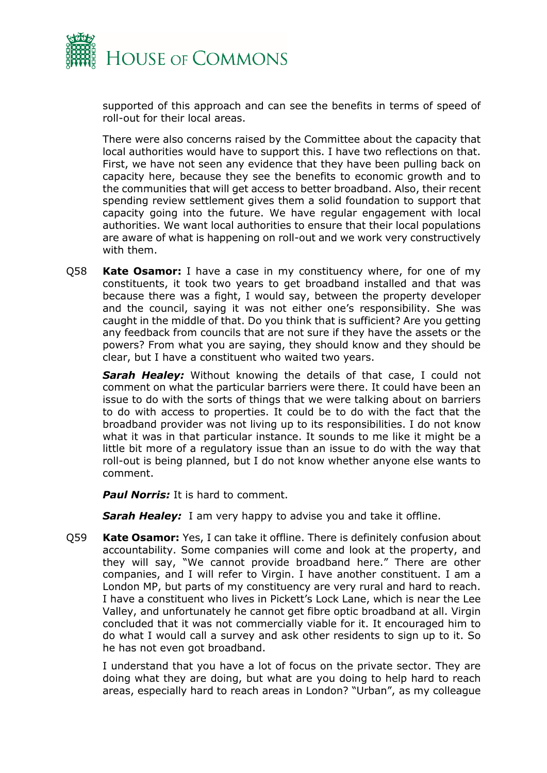

supported of this approach and can see the benefits in terms of speed of roll-out for their local areas.

There were also concerns raised by the Committee about the capacity that local authorities would have to support this. I have two reflections on that. First, we have not seen any evidence that they have been pulling back on capacity here, because they see the benefits to economic growth and to the communities that will get access to better broadband. Also, their recent spending review settlement gives them a solid foundation to support that capacity going into the future. We have regular engagement with local authorities. We want local authorities to ensure that their local populations are aware of what is happening on roll-out and we work very constructively with them.

Q58 **Kate Osamor:** I have a case in my constituency where, for one of my constituents, it took two years to get broadband installed and that was because there was a fight, I would say, between the property developer and the council, saying it was not either one's responsibility. She was caught in the middle of that. Do you think that is sufficient? Are you getting any feedback from councils that are not sure if they have the assets or the powers? From what you are saying, they should know and they should be clear, but I have a constituent who waited two years.

**Sarah Healey:** Without knowing the details of that case, I could not comment on what the particular barriers were there. It could have been an issue to do with the sorts of things that we were talking about on barriers to do with access to properties. It could be to do with the fact that the broadband provider was not living up to its responsibilities. I do not know what it was in that particular instance. It sounds to me like it might be a little bit more of a regulatory issue than an issue to do with the way that roll-out is being planned, but I do not know whether anyone else wants to comment.

**Paul Norris:** It is hard to comment.

**Sarah Healey:** I am very happy to advise you and take it offline.

Q59 **Kate Osamor:** Yes, I can take it offline. There is definitely confusion about accountability. Some companies will come and look at the property, and they will say, "We cannot provide broadband here." There are other companies, and I will refer to Virgin. I have another constituent. I am a London MP, but parts of my constituency are very rural and hard to reach. I have a constituent who lives in Pickett's Lock Lane, which is near the Lee Valley, and unfortunately he cannot get fibre optic broadband at all. Virgin concluded that it was not commercially viable for it. It encouraged him to do what I would call a survey and ask other residents to sign up to it. So he has not even got broadband.

I understand that you have a lot of focus on the private sector. They are doing what they are doing, but what are you doing to help hard to reach areas, especially hard to reach areas in London? "Urban", as my colleague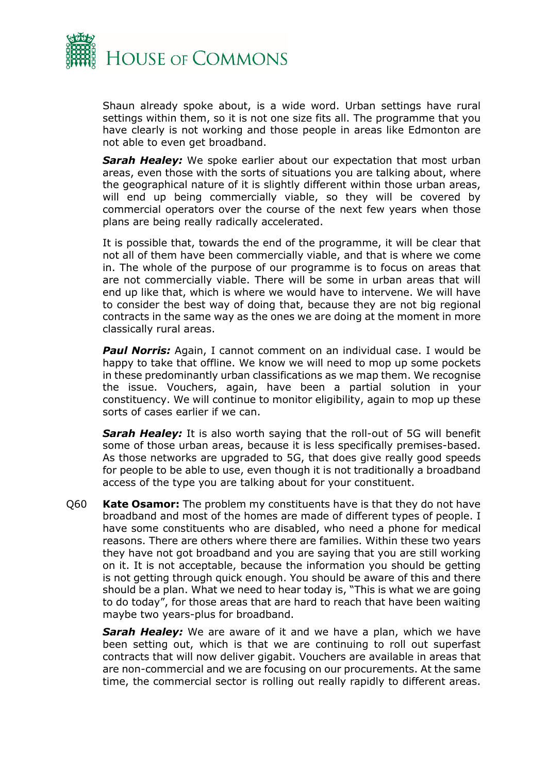

Shaun already spoke about, is a wide word. Urban settings have rural settings within them, so it is not one size fits all. The programme that you have clearly is not working and those people in areas like Edmonton are not able to even get broadband.

*Sarah Healey:* We spoke earlier about our expectation that most urban areas, even those with the sorts of situations you are talking about, where the geographical nature of it is slightly different within those urban areas, will end up being commercially viable, so they will be covered by commercial operators over the course of the next few years when those plans are being really radically accelerated.

It is possible that, towards the end of the programme, it will be clear that not all of them have been commercially viable, and that is where we come in. The whole of the purpose of our programme is to focus on areas that are not commercially viable. There will be some in urban areas that will end up like that, which is where we would have to intervene. We will have to consider the best way of doing that, because they are not big regional contracts in the same way as the ones we are doing at the moment in more classically rural areas.

**Paul Norris:** Again, I cannot comment on an individual case. I would be happy to take that offline. We know we will need to mop up some pockets in these predominantly urban classifications as we map them. We recognise the issue. Vouchers, again, have been a partial solution in your constituency. We will continue to monitor eligibility, again to mop up these sorts of cases earlier if we can.

**Sarah Healey:** It is also worth saying that the roll-out of 5G will benefit some of those urban areas, because it is less specifically premises-based. As those networks are upgraded to 5G, that does give really good speeds for people to be able to use, even though it is not traditionally a broadband access of the type you are talking about for your constituent.

Q60 **Kate Osamor:** The problem my constituents have is that they do not have broadband and most of the homes are made of different types of people. I have some constituents who are disabled, who need a phone for medical reasons. There are others where there are families. Within these two years they have not got broadband and you are saying that you are still working on it. It is not acceptable, because the information you should be getting is not getting through quick enough. You should be aware of this and there should be a plan. What we need to hear today is, "This is what we are going to do today", for those areas that are hard to reach that have been waiting maybe two years-plus for broadband.

**Sarah Healey:** We are aware of it and we have a plan, which we have been setting out, which is that we are continuing to roll out superfast contracts that will now deliver gigabit. Vouchers are available in areas that are non-commercial and we are focusing on our procurements. At the same time, the commercial sector is rolling out really rapidly to different areas.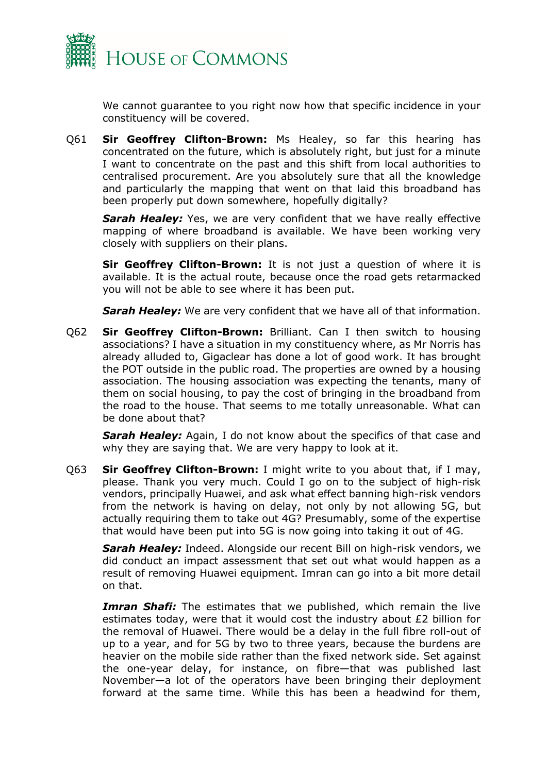

We cannot guarantee to you right now how that specific incidence in your constituency will be covered.

Q61 **Sir Geoffrey Clifton-Brown:** Ms Healey, so far this hearing has concentrated on the future, which is absolutely right, but just for a minute I want to concentrate on the past and this shift from local authorities to centralised procurement. Are you absolutely sure that all the knowledge and particularly the mapping that went on that laid this broadband has been properly put down somewhere, hopefully digitally?

*Sarah Healey:* Yes, we are very confident that we have really effective mapping of where broadband is available. We have been working very closely with suppliers on their plans.

**Sir Geoffrey Clifton-Brown:** It is not just a question of where it is available. It is the actual route, because once the road gets retarmacked you will not be able to see where it has been put.

**Sarah Healey:** We are very confident that we have all of that information.

Q62 **Sir Geoffrey Clifton-Brown:** Brilliant. Can I then switch to housing associations? I have a situation in my constituency where, as Mr Norris has already alluded to, Gigaclear has done a lot of good work. It has brought the POT outside in the public road. The properties are owned by a housing association. The housing association was expecting the tenants, many of them on social housing, to pay the cost of bringing in the broadband from the road to the house. That seems to me totally unreasonable. What can be done about that?

*Sarah Healey:* Again, I do not know about the specifics of that case and why they are saying that. We are very happy to look at it.

Q63 **Sir Geoffrey Clifton-Brown:** I might write to you about that, if I may, please. Thank you very much. Could I go on to the subject of high-risk vendors, principally Huawei, and ask what effect banning high-risk vendors from the network is having on delay, not only by not allowing 5G, but actually requiring them to take out 4G? Presumably, some of the expertise that would have been put into 5G is now going into taking it out of 4G.

*Sarah Healey:* Indeed. Alongside our recent Bill on high-risk vendors, we did conduct an impact assessment that set out what would happen as a result of removing Huawei equipment. Imran can go into a bit more detail on that.

**Imran Shafi:** The estimates that we published, which remain the live estimates today, were that it would cost the industry about £2 billion for the removal of Huawei. There would be a delay in the full fibre roll-out of up to a year, and for 5G by two to three years, because the burdens are heavier on the mobile side rather than the fixed network side. Set against the one-year delay, for instance, on fibre—that was published last November—a lot of the operators have been bringing their deployment forward at the same time. While this has been a headwind for them,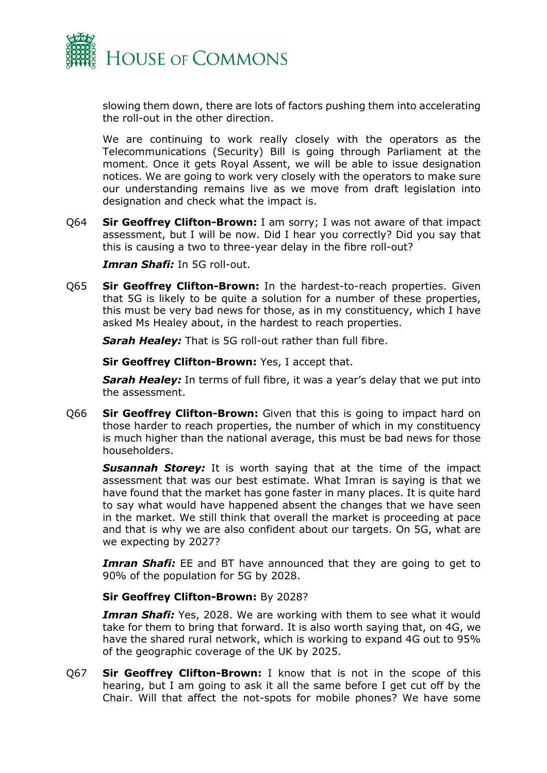

slowing them down, there are lots of factors pushing them into accelerating the roll-out in the other direction.

We are continuing to work really closely with the operators as the Telecommunications (Security) Bill is going through Parliament at the moment. Once it gets Royal Assent, we will be able to issue designation notices. We are going to work very closely with the operators to make sure our understanding remains live as we move from draft legislation into designation and check what the impact is.

Q64 **Sir Geoffrey Clifton-Brown:** I am sorry; I was not aware of that impact assessment, but I will be now. Did I hear you correctly? Did you say that this is causing a two to three-year delay in the fibre roll-out?

*Imran Shafi:* In 5G roll-out.

Q65 **Sir Geoffrey Clifton-Brown:** In the hardest-to-reach properties. Given that 5G is likely to be quite a solution for a number of these properties, this must be very bad news for those, as in my constituency, which I have asked Ms Healey about, in the hardest to reach properties.

*Sarah Healey:* That is 5G roll-out rather than full fibre.

**Sir Geoffrey Clifton-Brown:** Yes, I accept that.

**Sarah Healey:** In terms of full fibre, it was a year's delay that we put into the assessment.

Q66 **Sir Geoffrey Clifton-Brown:** Given that this is going to impact hard on those harder to reach properties, the number of which in my constituency is much higher than the national average, this must be bad news for those householders.

**Susannah Storey:** It is worth saying that at the time of the impact assessment that was our best estimate. What Imran is saying is that we have found that the market has gone faster in many places. It is quite hard to say what would have happened absent the changes that we have seen in the market. We still think that overall the market is proceeding at pace and that is why we are also confident about our targets. On 5G, what are we expecting by 2027?

**Imran Shafi:** EE and BT have announced that they are going to get to 90% of the population for 5G by 2028.

#### **Sir Geoffrey Clifton-Brown:** By 2028?

*Imran Shafi:* Yes, 2028. We are working with them to see what it would take for them to bring that forward. It is also worth saying that, on 4G, we have the shared rural network, which is working to expand 4G out to 95% of the geographic coverage of the UK by 2025.

Q67 **Sir Geoffrey Clifton-Brown:** I know that is not in the scope of this hearing, but I am going to ask it all the same before I get cut off by the Chair. Will that affect the not-spots for mobile phones? We have some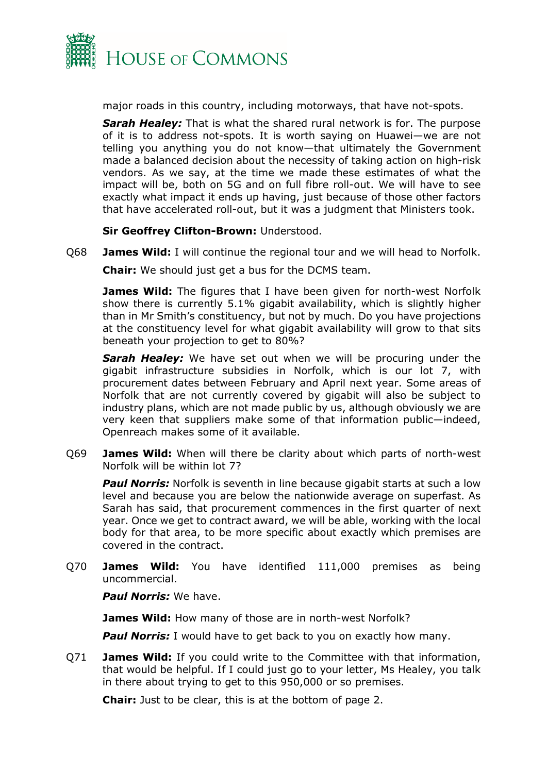

major roads in this country, including motorways, that have not-spots.

*Sarah Healey:* That is what the shared rural network is for. The purpose of it is to address not-spots. It is worth saying on Huawei—we are not telling you anything you do not know—that ultimately the Government made a balanced decision about the necessity of taking action on high-risk vendors. As we say, at the time we made these estimates of what the impact will be, both on 5G and on full fibre roll-out. We will have to see exactly what impact it ends up having, just because of those other factors that have accelerated roll-out, but it was a judgment that Ministers took.

**Sir Geoffrey Clifton-Brown:** Understood.

Q68 **James Wild:** I will continue the regional tour and we will head to Norfolk.

**Chair:** We should just get a bus for the DCMS team.

**James Wild:** The figures that I have been given for north-west Norfolk show there is currently 5.1% gigabit availability, which is slightly higher than in Mr Smith's constituency, but not by much. Do you have projections at the constituency level for what gigabit availability will grow to that sits beneath your projection to get to 80%?

**Sarah Healey:** We have set out when we will be procuring under the gigabit infrastructure subsidies in Norfolk, which is our lot 7, with procurement dates between February and April next year. Some areas of Norfolk that are not currently covered by gigabit will also be subject to industry plans, which are not made public by us, although obviously we are very keen that suppliers make some of that information public—indeed, Openreach makes some of it available.

Q69 **James Wild:** When will there be clarity about which parts of north-west Norfolk will be within lot 7?

**Paul Norris:** Norfolk is seventh in line because gigabit starts at such a low level and because you are below the nationwide average on superfast. As Sarah has said, that procurement commences in the first quarter of next year. Once we get to contract award, we will be able, working with the local body for that area, to be more specific about exactly which premises are covered in the contract.

Q70 **James Wild:** You have identified 111,000 premises as being uncommercial.

*Paul Norris:* We have.

**James Wild:** How many of those are in north-west Norfolk?

**Paul Norris:** I would have to get back to you on exactly how many.

Q71 **James Wild:** If you could write to the Committee with that information, that would be helpful. If I could just go to your letter, Ms Healey, you talk in there about trying to get to this 950,000 or so premises.

**Chair:** Just to be clear, this is at the bottom of page 2.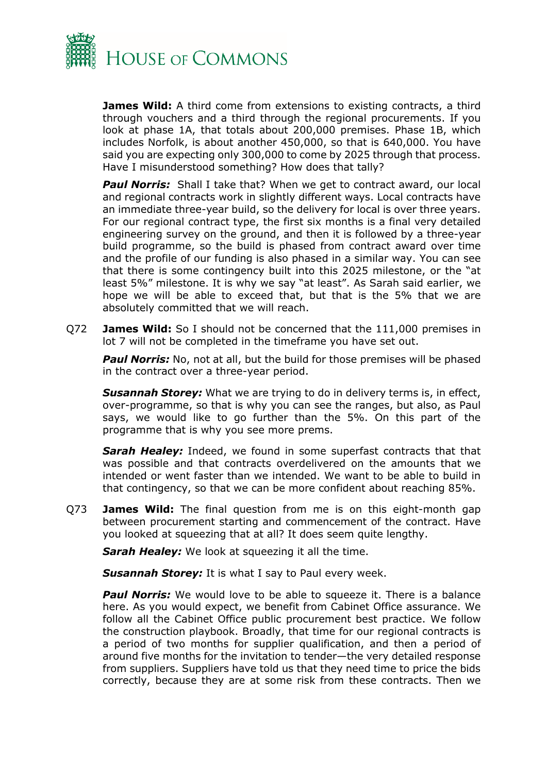

**James Wild:** A third come from extensions to existing contracts, a third through vouchers and a third through the regional procurements. If you look at phase 1A, that totals about 200,000 premises. Phase 1B, which includes Norfolk, is about another 450,000, so that is 640,000. You have said you are expecting only 300,000 to come by 2025 through that process. Have I misunderstood something? How does that tally?

**Paul Norris:** Shall I take that? When we get to contract award, our local and regional contracts work in slightly different ways. Local contracts have an immediate three-year build, so the delivery for local is over three years. For our regional contract type, the first six months is a final very detailed engineering survey on the ground, and then it is followed by a three-year build programme, so the build is phased from contract award over time and the profile of our funding is also phased in a similar way. You can see that there is some contingency built into this 2025 milestone, or the "at least 5%" milestone. It is why we say "at least". As Sarah said earlier, we hope we will be able to exceed that, but that is the 5% that we are absolutely committed that we will reach.

Q72 **James Wild:** So I should not be concerned that the 111,000 premises in lot 7 will not be completed in the timeframe you have set out.

**Paul Norris:** No, not at all, but the build for those premises will be phased in the contract over a three-year period.

*Susannah Storey:* What we are trying to do in delivery terms is, in effect, over-programme, so that is why you can see the ranges, but also, as Paul says, we would like to go further than the 5%. On this part of the programme that is why you see more prems.

**Sarah Healey:** Indeed, we found in some superfast contracts that that was possible and that contracts overdelivered on the amounts that we intended or went faster than we intended. We want to be able to build in that contingency, so that we can be more confident about reaching 85%.

Q73 **James Wild:** The final question from me is on this eight-month gap between procurement starting and commencement of the contract. Have you looked at squeezing that at all? It does seem quite lengthy.

**Sarah Healey:** We look at squeezing it all the time.

**Susannah Storey:** It is what I say to Paul every week.

**Paul Norris:** We would love to be able to squeeze it. There is a balance here. As you would expect, we benefit from Cabinet Office assurance. We follow all the Cabinet Office public procurement best practice. We follow the construction playbook. Broadly, that time for our regional contracts is a period of two months for supplier qualification, and then a period of around five months for the invitation to tender—the very detailed response from suppliers. Suppliers have told us that they need time to price the bids correctly, because they are at some risk from these contracts. Then we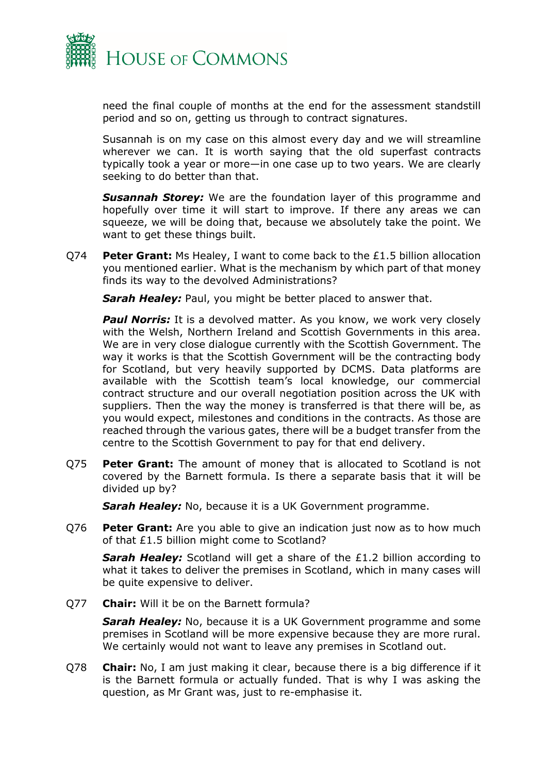

need the final couple of months at the end for the assessment standstill period and so on, getting us through to contract signatures.

Susannah is on my case on this almost every day and we will streamline wherever we can. It is worth saying that the old superfast contracts typically took a year or more—in one case up to two years. We are clearly seeking to do better than that.

*Susannah Storey:* We are the foundation layer of this programme and hopefully over time it will start to improve. If there any areas we can squeeze, we will be doing that, because we absolutely take the point. We want to get these things built.

Q74 **Peter Grant:** Ms Healey, I want to come back to the £1.5 billion allocation you mentioned earlier. What is the mechanism by which part of that money finds its way to the devolved Administrations?

**Sarah Healey:** Paul, you might be better placed to answer that.

**Paul Norris:** It is a devolved matter. As you know, we work very closely with the Welsh, Northern Ireland and Scottish Governments in this area. We are in very close dialogue currently with the Scottish Government. The way it works is that the Scottish Government will be the contracting body for Scotland, but very heavily supported by DCMS. Data platforms are available with the Scottish team's local knowledge, our commercial contract structure and our overall negotiation position across the UK with suppliers. Then the way the money is transferred is that there will be, as you would expect, milestones and conditions in the contracts. As those are reached through the various gates, there will be a budget transfer from the centre to the Scottish Government to pay for that end delivery.

Q75 **Peter Grant:** The amount of money that is allocated to Scotland is not covered by the Barnett formula. Is there a separate basis that it will be divided up by?

**Sarah Healey:** No, because it is a UK Government programme.

Q76 **Peter Grant:** Are you able to give an indication just now as to how much of that £1.5 billion might come to Scotland?

**Sarah Healey:** Scotland will get a share of the £1.2 billion according to what it takes to deliver the premises in Scotland, which in many cases will be quite expensive to deliver.

Q77 **Chair:** Will it be on the Barnett formula?

*Sarah Healey:* No, because it is a UK Government programme and some premises in Scotland will be more expensive because they are more rural. We certainly would not want to leave any premises in Scotland out.

Q78 **Chair:** No, I am just making it clear, because there is a big difference if it is the Barnett formula or actually funded. That is why I was asking the question, as Mr Grant was, just to re-emphasise it.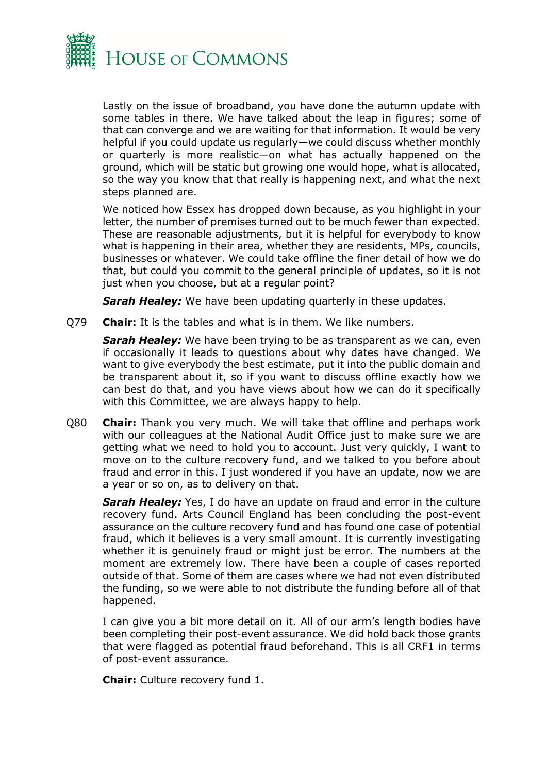

Lastly on the issue of broadband, you have done the autumn update with some tables in there. We have talked about the leap in figures; some of that can converge and we are waiting for that information. It would be very helpful if you could update us regularly—we could discuss whether monthly or quarterly is more realistic—on what has actually happened on the ground, which will be static but growing one would hope, what is allocated, so the way you know that that really is happening next, and what the next steps planned are.

We noticed how Essex has dropped down because, as you highlight in your letter, the number of premises turned out to be much fewer than expected. These are reasonable adjustments, but it is helpful for everybody to know what is happening in their area, whether they are residents, MPs, councils, businesses or whatever. We could take offline the finer detail of how we do that, but could you commit to the general principle of updates, so it is not just when you choose, but at a regular point?

**Sarah Healey:** We have been updating quarterly in these updates.

Q79 **Chair:** It is the tables and what is in them. We like numbers.

*Sarah Healey:* We have been trying to be as transparent as we can, even if occasionally it leads to questions about why dates have changed. We want to give everybody the best estimate, put it into the public domain and be transparent about it, so if you want to discuss offline exactly how we can best do that, and you have views about how we can do it specifically with this Committee, we are always happy to help.

Q80 **Chair:** Thank you very much. We will take that offline and perhaps work with our colleagues at the National Audit Office just to make sure we are getting what we need to hold you to account. Just very quickly, I want to move on to the culture recovery fund, and we talked to you before about fraud and error in this. I just wondered if you have an update, now we are a year or so on, as to delivery on that.

**Sarah Healey:** Yes, I do have an update on fraud and error in the culture recovery fund. Arts Council England has been concluding the post-event assurance on the culture recovery fund and has found one case of potential fraud, which it believes is a very small amount. It is currently investigating whether it is genuinely fraud or might just be error. The numbers at the moment are extremely low. There have been a couple of cases reported outside of that. Some of them are cases where we had not even distributed the funding, so we were able to not distribute the funding before all of that happened.

I can give you a bit more detail on it. All of our arm's length bodies have been completing their post-event assurance. We did hold back those grants that were flagged as potential fraud beforehand. This is all CRF1 in terms of post-event assurance.

**Chair:** Culture recovery fund 1.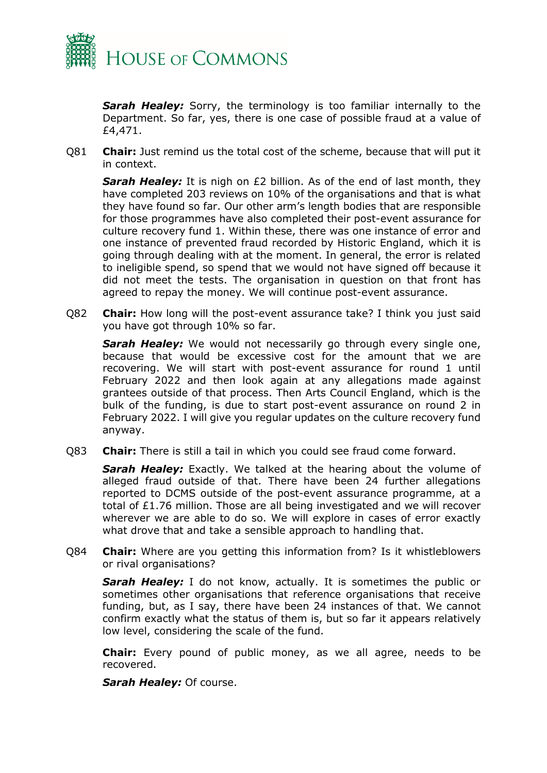

**Sarah Healey:** Sorry, the terminology is too familiar internally to the Department. So far, yes, there is one case of possible fraud at a value of £4,471.

Q81 **Chair:** Just remind us the total cost of the scheme, because that will put it in context.

**Sarah Healey:** It is nigh on £2 billion. As of the end of last month, they have completed 203 reviews on 10% of the organisations and that is what they have found so far. Our other arm's length bodies that are responsible for those programmes have also completed their post-event assurance for culture recovery fund 1. Within these, there was one instance of error and one instance of prevented fraud recorded by Historic England, which it is going through dealing with at the moment. In general, the error is related to ineligible spend, so spend that we would not have signed off because it did not meet the tests. The organisation in question on that front has agreed to repay the money. We will continue post-event assurance.

Q82 **Chair:** How long will the post-event assurance take? I think you just said you have got through 10% so far.

**Sarah Healey:** We would not necessarily go through every single one, because that would be excessive cost for the amount that we are recovering. We will start with post-event assurance for round 1 until February 2022 and then look again at any allegations made against grantees outside of that process. Then Arts Council England, which is the bulk of the funding, is due to start post-event assurance on round 2 in February 2022. I will give you regular updates on the culture recovery fund anyway.

Q83 **Chair:** There is still a tail in which you could see fraud come forward.

**Sarah Healey:** Exactly. We talked at the hearing about the volume of alleged fraud outside of that. There have been 24 further allegations reported to DCMS outside of the post-event assurance programme, at a total of £1.76 million. Those are all being investigated and we will recover wherever we are able to do so. We will explore in cases of error exactly what drove that and take a sensible approach to handling that.

Q84 **Chair:** Where are you getting this information from? Is it whistleblowers or rival organisations?

**Sarah Healey:** I do not know, actually. It is sometimes the public or sometimes other organisations that reference organisations that receive funding, but, as I say, there have been 24 instances of that. We cannot confirm exactly what the status of them is, but so far it appears relatively low level, considering the scale of the fund.

**Chair:** Every pound of public money, as we all agree, needs to be recovered.

*Sarah Healey:* Of course.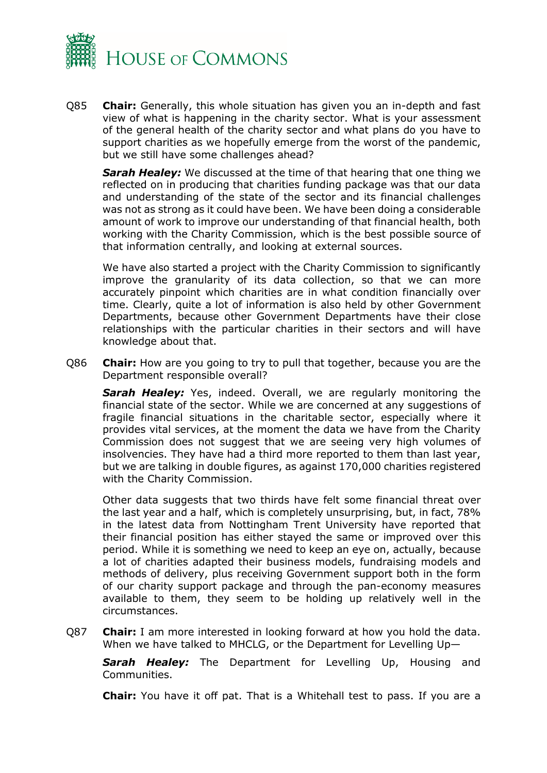

Q85 **Chair:** Generally, this whole situation has given you an in-depth and fast view of what is happening in the charity sector. What is your assessment of the general health of the charity sector and what plans do you have to support charities as we hopefully emerge from the worst of the pandemic, but we still have some challenges ahead?

*Sarah Healey:* We discussed at the time of that hearing that one thing we reflected on in producing that charities funding package was that our data and understanding of the state of the sector and its financial challenges was not as strong as it could have been. We have been doing a considerable amount of work to improve our understanding of that financial health, both working with the Charity Commission, which is the best possible source of that information centrally, and looking at external sources.

We have also started a project with the Charity Commission to significantly improve the granularity of its data collection, so that we can more accurately pinpoint which charities are in what condition financially over time. Clearly, quite a lot of information is also held by other Government Departments, because other Government Departments have their close relationships with the particular charities in their sectors and will have knowledge about that.

Q86 **Chair:** How are you going to try to pull that together, because you are the Department responsible overall?

**Sarah Healey:** Yes, indeed. Overall, we are regularly monitoring the financial state of the sector. While we are concerned at any suggestions of fragile financial situations in the charitable sector, especially where it provides vital services, at the moment the data we have from the Charity Commission does not suggest that we are seeing very high volumes of insolvencies. They have had a third more reported to them than last year, but we are talking in double figures, as against 170,000 charities registered with the Charity Commission.

Other data suggests that two thirds have felt some financial threat over the last year and a half, which is completely unsurprising, but, in fact, 78% in the latest data from Nottingham Trent University have reported that their financial position has either stayed the same or improved over this period. While it is something we need to keep an eye on, actually, because a lot of charities adapted their business models, fundraising models and methods of delivery, plus receiving Government support both in the form of our charity support package and through the pan-economy measures available to them, they seem to be holding up relatively well in the circumstances.

Q87 **Chair:** I am more interested in looking forward at how you hold the data. When we have talked to MHCLG, or the Department for Levelling Up—

**Sarah Healey:** The Department for Levelling Up, Housing and Communities.

**Chair:** You have it off pat. That is a Whitehall test to pass. If you are a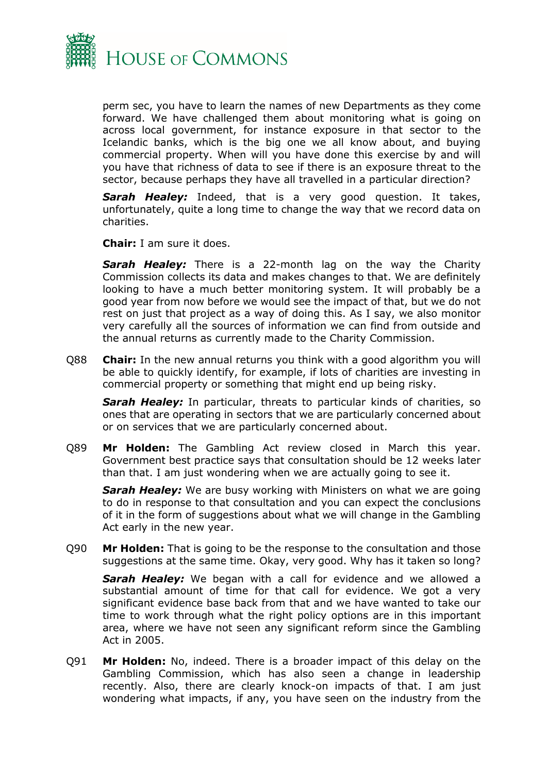

perm sec, you have to learn the names of new Departments as they come forward. We have challenged them about monitoring what is going on across local government, for instance exposure in that sector to the Icelandic banks, which is the big one we all know about, and buying commercial property. When will you have done this exercise by and will you have that richness of data to see if there is an exposure threat to the sector, because perhaps they have all travelled in a particular direction?

*Sarah Healey:* Indeed, that is a very good question. It takes, unfortunately, quite a long time to change the way that we record data on charities.

**Chair:** I am sure it does.

*Sarah Healey:* There is a 22-month lag on the way the Charity Commission collects its data and makes changes to that. We are definitely looking to have a much better monitoring system. It will probably be a good year from now before we would see the impact of that, but we do not rest on just that project as a way of doing this. As I say, we also monitor very carefully all the sources of information we can find from outside and the annual returns as currently made to the Charity Commission.

Q88 **Chair:** In the new annual returns you think with a good algorithm you will be able to quickly identify, for example, if lots of charities are investing in commercial property or something that might end up being risky.

**Sarah Healey:** In particular, threats to particular kinds of charities, so ones that are operating in sectors that we are particularly concerned about or on services that we are particularly concerned about.

Q89 **Mr Holden:** The Gambling Act review closed in March this year. Government best practice says that consultation should be 12 weeks later than that. I am just wondering when we are actually going to see it.

*Sarah Healey:* We are busy working with Ministers on what we are going to do in response to that consultation and you can expect the conclusions of it in the form of suggestions about what we will change in the Gambling Act early in the new year.

Q90 **Mr Holden:** That is going to be the response to the consultation and those suggestions at the same time. Okay, very good. Why has it taken so long?

*Sarah Healey:* We began with a call for evidence and we allowed a substantial amount of time for that call for evidence. We got a very significant evidence base back from that and we have wanted to take our time to work through what the right policy options are in this important area, where we have not seen any significant reform since the Gambling Act in 2005.

Q91 **Mr Holden:** No, indeed. There is a broader impact of this delay on the Gambling Commission, which has also seen a change in leadership recently. Also, there are clearly knock-on impacts of that. I am just wondering what impacts, if any, you have seen on the industry from the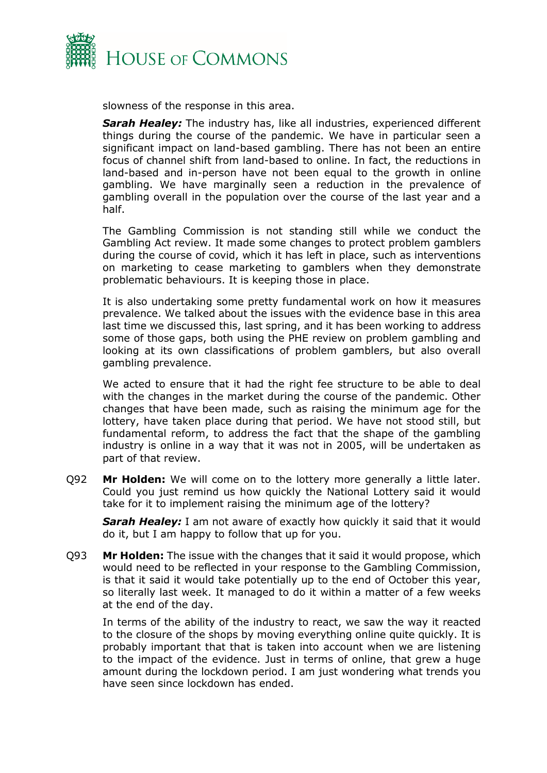

slowness of the response in this area.

**Sarah Healey:** The industry has, like all industries, experienced different things during the course of the pandemic. We have in particular seen a significant impact on land-based gambling. There has not been an entire focus of channel shift from land-based to online. In fact, the reductions in land-based and in-person have not been equal to the growth in online gambling. We have marginally seen a reduction in the prevalence of gambling overall in the population over the course of the last year and a half.

The Gambling Commission is not standing still while we conduct the Gambling Act review. It made some changes to protect problem gamblers during the course of covid, which it has left in place, such as interventions on marketing to cease marketing to gamblers when they demonstrate problematic behaviours. It is keeping those in place.

It is also undertaking some pretty fundamental work on how it measures prevalence. We talked about the issues with the evidence base in this area last time we discussed this, last spring, and it has been working to address some of those gaps, both using the PHE review on problem gambling and looking at its own classifications of problem gamblers, but also overall gambling prevalence.

We acted to ensure that it had the right fee structure to be able to deal with the changes in the market during the course of the pandemic. Other changes that have been made, such as raising the minimum age for the lottery, have taken place during that period. We have not stood still, but fundamental reform, to address the fact that the shape of the gambling industry is online in a way that it was not in 2005, will be undertaken as part of that review.

Q92 **Mr Holden:** We will come on to the lottery more generally a little later. Could you just remind us how quickly the National Lottery said it would take for it to implement raising the minimum age of the lottery?

**Sarah Healey:** I am not aware of exactly how quickly it said that it would do it, but I am happy to follow that up for you.

Q93 **Mr Holden:** The issue with the changes that it said it would propose, which would need to be reflected in your response to the Gambling Commission, is that it said it would take potentially up to the end of October this year, so literally last week. It managed to do it within a matter of a few weeks at the end of the day.

In terms of the ability of the industry to react, we saw the way it reacted to the closure of the shops by moving everything online quite quickly. It is probably important that that is taken into account when we are listening to the impact of the evidence. Just in terms of online, that grew a huge amount during the lockdown period. I am just wondering what trends you have seen since lockdown has ended.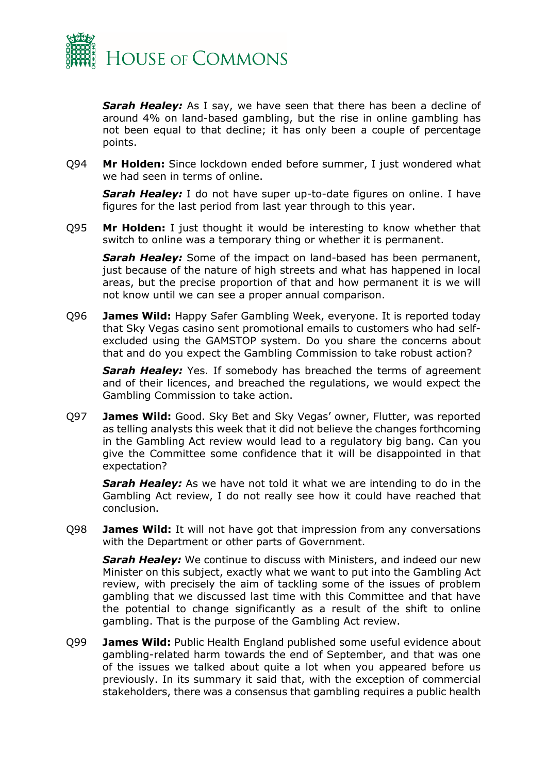

**Sarah Healey:** As I say, we have seen that there has been a decline of around 4% on land-based gambling, but the rise in online gambling has not been equal to that decline; it has only been a couple of percentage points.

Q94 **Mr Holden:** Since lockdown ended before summer, I just wondered what we had seen in terms of online.

*Sarah Healey:* I do not have super up-to-date figures on online. I have figures for the last period from last year through to this year.

Q95 **Mr Holden:** I just thought it would be interesting to know whether that switch to online was a temporary thing or whether it is permanent.

*Sarah Healey:* Some of the impact on land-based has been permanent, just because of the nature of high streets and what has happened in local areas, but the precise proportion of that and how permanent it is we will not know until we can see a proper annual comparison.

Q96 **James Wild:** Happy Safer Gambling Week, everyone. It is reported today that Sky Vegas casino sent promotional emails to customers who had selfexcluded using the GAMSTOP system. Do you share the concerns about that and do you expect the Gambling Commission to take robust action?

**Sarah Healey:** Yes. If somebody has breached the terms of agreement and of their licences, and breached the regulations, we would expect the Gambling Commission to take action.

Q97 **James Wild:** Good. Sky Bet and Sky Vegas' owner, Flutter, was reported as telling analysts this week that it did not believe the changes forthcoming in the Gambling Act review would lead to a regulatory big bang. Can you give the Committee some confidence that it will be disappointed in that expectation?

*Sarah Healey:* As we have not told it what we are intending to do in the Gambling Act review, I do not really see how it could have reached that conclusion.

Q98 **James Wild:** It will not have got that impression from any conversations with the Department or other parts of Government.

**Sarah Healey:** We continue to discuss with Ministers, and indeed our new Minister on this subject, exactly what we want to put into the Gambling Act review, with precisely the aim of tackling some of the issues of problem gambling that we discussed last time with this Committee and that have the potential to change significantly as a result of the shift to online gambling. That is the purpose of the Gambling Act review.

Q99 **James Wild:** Public Health England published some useful evidence about gambling-related harm towards the end of September, and that was one of the issues we talked about quite a lot when you appeared before us previously. In its summary it said that, with the exception of commercial stakeholders, there was a consensus that gambling requires a public health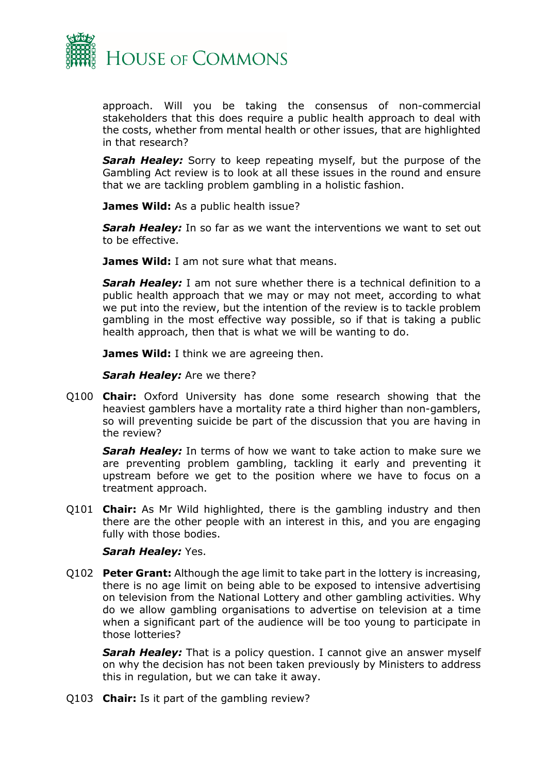

approach. Will you be taking the consensus of non-commercial stakeholders that this does require a public health approach to deal with the costs, whether from mental health or other issues, that are highlighted in that research?

*Sarah Healey:* Sorry to keep repeating myself, but the purpose of the Gambling Act review is to look at all these issues in the round and ensure that we are tackling problem gambling in a holistic fashion.

**James Wild:** As a public health issue?

**Sarah Healey:** In so far as we want the interventions we want to set out to be effective.

**James Wild:** I am not sure what that means.

*Sarah Healey:* I am not sure whether there is a technical definition to a public health approach that we may or may not meet, according to what we put into the review, but the intention of the review is to tackle problem gambling in the most effective way possible, so if that is taking a public health approach, then that is what we will be wanting to do.

**James Wild:** I think we are agreeing then.

*Sarah Healey:* Are we there?

Q100 **Chair:** Oxford University has done some research showing that the heaviest gamblers have a mortality rate a third higher than non-gamblers, so will preventing suicide be part of the discussion that you are having in the review?

*Sarah Healey:* In terms of how we want to take action to make sure we are preventing problem gambling, tackling it early and preventing it upstream before we get to the position where we have to focus on a treatment approach.

Q101 **Chair:** As Mr Wild highlighted, there is the gambling industry and then there are the other people with an interest in this, and you are engaging fully with those bodies.

#### *Sarah Healey:* Yes.

Q102 **Peter Grant:** Although the age limit to take part in the lottery is increasing, there is no age limit on being able to be exposed to intensive advertising on television from the National Lottery and other gambling activities. Why do we allow gambling organisations to advertise on television at a time when a significant part of the audience will be too young to participate in those lotteries?

**Sarah Healey:** That is a policy question. I cannot give an answer myself on why the decision has not been taken previously by Ministers to address this in regulation, but we can take it away.

Q103 **Chair:** Is it part of the gambling review?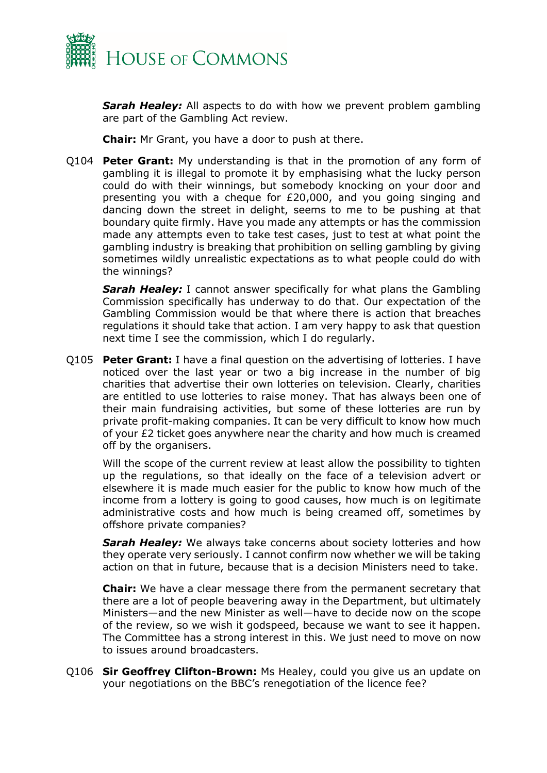

*Sarah Healey:* All aspects to do with how we prevent problem gambling are part of the Gambling Act review.

**Chair:** Mr Grant, you have a door to push at there.

Q104 **Peter Grant:** My understanding is that in the promotion of any form of gambling it is illegal to promote it by emphasising what the lucky person could do with their winnings, but somebody knocking on your door and presenting you with a cheque for £20,000, and you going singing and dancing down the street in delight, seems to me to be pushing at that boundary quite firmly. Have you made any attempts or has the commission made any attempts even to take test cases, just to test at what point the gambling industry is breaking that prohibition on selling gambling by giving sometimes wildly unrealistic expectations as to what people could do with the winnings?

**Sarah Healey:** I cannot answer specifically for what plans the Gambling Commission specifically has underway to do that. Our expectation of the Gambling Commission would be that where there is action that breaches regulations it should take that action. I am very happy to ask that question next time I see the commission, which I do regularly.

Q105 **Peter Grant:** I have a final question on the advertising of lotteries. I have noticed over the last year or two a big increase in the number of big charities that advertise their own lotteries on television. Clearly, charities are entitled to use lotteries to raise money. That has always been one of their main fundraising activities, but some of these lotteries are run by private profit-making companies. It can be very difficult to know how much of your £2 ticket goes anywhere near the charity and how much is creamed off by the organisers.

Will the scope of the current review at least allow the possibility to tighten up the regulations, so that ideally on the face of a television advert or elsewhere it is made much easier for the public to know how much of the income from a lottery is going to good causes, how much is on legitimate administrative costs and how much is being creamed off, sometimes by offshore private companies?

*Sarah Healey:* We always take concerns about society lotteries and how they operate very seriously. I cannot confirm now whether we will be taking action on that in future, because that is a decision Ministers need to take.

**Chair:** We have a clear message there from the permanent secretary that there are a lot of people beavering away in the Department, but ultimately Ministers—and the new Minister as well—have to decide now on the scope of the review, so we wish it godspeed, because we want to see it happen. The Committee has a strong interest in this. We just need to move on now to issues around broadcasters.

Q106 **Sir Geoffrey Clifton-Brown:** Ms Healey, could you give us an update on your negotiations on the BBC's renegotiation of the licence fee?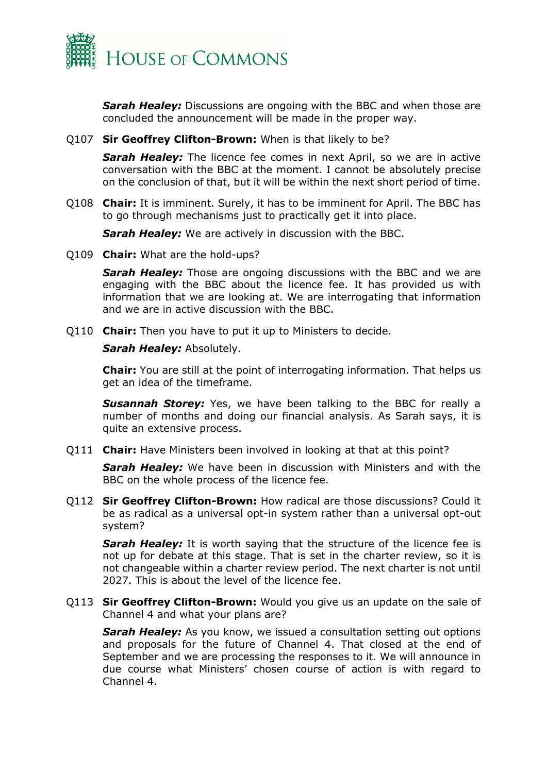

**Sarah Healey:** Discussions are ongoing with the BBC and when those are concluded the announcement will be made in the proper way.

#### Q107 **Sir Geoffrey Clifton-Brown:** When is that likely to be?

**Sarah Healey:** The licence fee comes in next April, so we are in active conversation with the BBC at the moment. I cannot be absolutely precise on the conclusion of that, but it will be within the next short period of time.

Q108 **Chair:** It is imminent. Surely, it has to be imminent for April. The BBC has to go through mechanisms just to practically get it into place.

**Sarah Healey:** We are actively in discussion with the BBC.

Q109 **Chair:** What are the hold-ups?

**Sarah Healey:** Those are ongoing discussions with the BBC and we are engaging with the BBC about the licence fee. It has provided us with information that we are looking at. We are interrogating that information and we are in active discussion with the BBC.

Q110 **Chair:** Then you have to put it up to Ministers to decide.

*Sarah Healey:* Absolutely.

**Chair:** You are still at the point of interrogating information. That helps us get an idea of the timeframe.

**Susannah Storey:** Yes, we have been talking to the BBC for really a number of months and doing our financial analysis. As Sarah says, it is quite an extensive process.

Q111 **Chair:** Have Ministers been involved in looking at that at this point?

*Sarah Healey:* We have been in discussion with Ministers and with the BBC on the whole process of the licence fee.

Q112 **Sir Geoffrey Clifton-Brown:** How radical are those discussions? Could it be as radical as a universal opt-in system rather than a universal opt-out system?

**Sarah Healey:** It is worth saying that the structure of the licence fee is not up for debate at this stage. That is set in the charter review, so it is not changeable within a charter review period. The next charter is not until 2027. This is about the level of the licence fee.

Q113 **Sir Geoffrey Clifton-Brown:** Would you give us an update on the sale of Channel 4 and what your plans are?

**Sarah Healey:** As you know, we issued a consultation setting out options and proposals for the future of Channel 4. That closed at the end of September and we are processing the responses to it. We will announce in due course what Ministers' chosen course of action is with regard to Channel 4.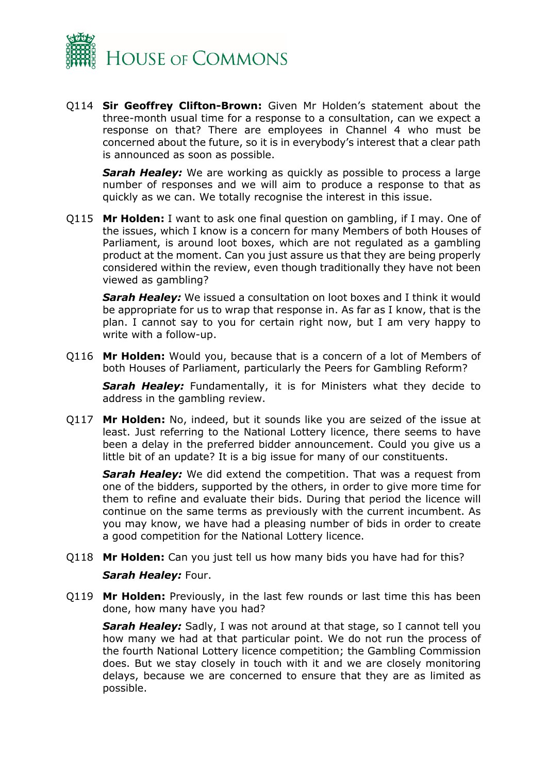

Q114 **Sir Geoffrey Clifton-Brown:** Given Mr Holden's statement about the three-month usual time for a response to a consultation, can we expect a response on that? There are employees in Channel 4 who must be concerned about the future, so it is in everybody's interest that a clear path is announced as soon as possible.

**Sarah Healey:** We are working as quickly as possible to process a large number of responses and we will aim to produce a response to that as quickly as we can. We totally recognise the interest in this issue.

Q115 **Mr Holden:** I want to ask one final question on gambling, if I may. One of the issues, which I know is a concern for many Members of both Houses of Parliament, is around loot boxes, which are not regulated as a gambling product at the moment. Can you just assure us that they are being properly considered within the review, even though traditionally they have not been viewed as gambling?

*Sarah Healey:* We issued a consultation on loot boxes and I think it would be appropriate for us to wrap that response in. As far as I know, that is the plan. I cannot say to you for certain right now, but I am very happy to write with a follow-up.

Q116 **Mr Holden:** Would you, because that is a concern of a lot of Members of both Houses of Parliament, particularly the Peers for Gambling Reform?

**Sarah Healey:** Fundamentally, it is for Ministers what they decide to address in the gambling review.

Q117 **Mr Holden:** No, indeed, but it sounds like you are seized of the issue at least. Just referring to the National Lottery licence, there seems to have been a delay in the preferred bidder announcement. Could you give us a little bit of an update? It is a big issue for many of our constituents.

*Sarah Healey:* We did extend the competition. That was a request from one of the bidders, supported by the others, in order to give more time for them to refine and evaluate their bids. During that period the licence will continue on the same terms as previously with the current incumbent. As you may know, we have had a pleasing number of bids in order to create a good competition for the National Lottery licence.

- Q118 **Mr Holden:** Can you just tell us how many bids you have had for this? *Sarah Healey:* Four.
- Q119 **Mr Holden:** Previously, in the last few rounds or last time this has been done, how many have you had?

*Sarah Healey:* Sadly, I was not around at that stage, so I cannot tell you how many we had at that particular point. We do not run the process of the fourth National Lottery licence competition; the Gambling Commission does. But we stay closely in touch with it and we are closely monitoring delays, because we are concerned to ensure that they are as limited as possible.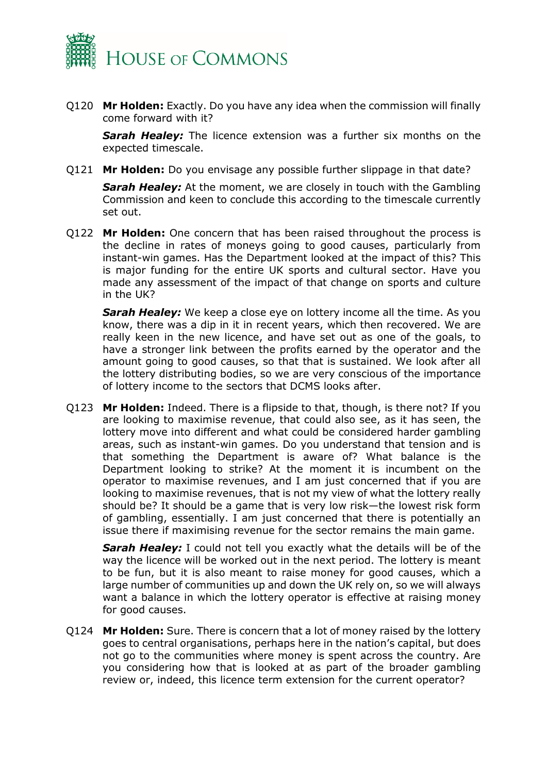

Q120 **Mr Holden:** Exactly. Do you have any idea when the commission will finally come forward with it?

*Sarah Healey:* The licence extension was a further six months on the expected timescale.

Q121 **Mr Holden:** Do you envisage any possible further slippage in that date?

*Sarah Healey:* At the moment, we are closely in touch with the Gambling Commission and keen to conclude this according to the timescale currently set out.

Q122 **Mr Holden:** One concern that has been raised throughout the process is the decline in rates of moneys going to good causes, particularly from instant-win games. Has the Department looked at the impact of this? This is major funding for the entire UK sports and cultural sector. Have you made any assessment of the impact of that change on sports and culture in the UK?

**Sarah Healey:** We keep a close eye on lottery income all the time. As you know, there was a dip in it in recent years, which then recovered. We are really keen in the new licence, and have set out as one of the goals, to have a stronger link between the profits earned by the operator and the amount going to good causes, so that that is sustained. We look after all the lottery distributing bodies, so we are very conscious of the importance of lottery income to the sectors that DCMS looks after.

Q123 **Mr Holden:** Indeed. There is a flipside to that, though, is there not? If you are looking to maximise revenue, that could also see, as it has seen, the lottery move into different and what could be considered harder gambling areas, such as instant-win games. Do you understand that tension and is that something the Department is aware of? What balance is the Department looking to strike? At the moment it is incumbent on the operator to maximise revenues, and I am just concerned that if you are looking to maximise revenues, that is not my view of what the lottery really should be? It should be a game that is very low risk—the lowest risk form of gambling, essentially. I am just concerned that there is potentially an issue there if maximising revenue for the sector remains the main game.

*Sarah Healey:* I could not tell you exactly what the details will be of the way the licence will be worked out in the next period. The lottery is meant to be fun, but it is also meant to raise money for good causes, which a large number of communities up and down the UK rely on, so we will always want a balance in which the lottery operator is effective at raising money for good causes.

Q124 **Mr Holden:** Sure. There is concern that a lot of money raised by the lottery goes to central organisations, perhaps here in the nation's capital, but does not go to the communities where money is spent across the country. Are you considering how that is looked at as part of the broader gambling review or, indeed, this licence term extension for the current operator?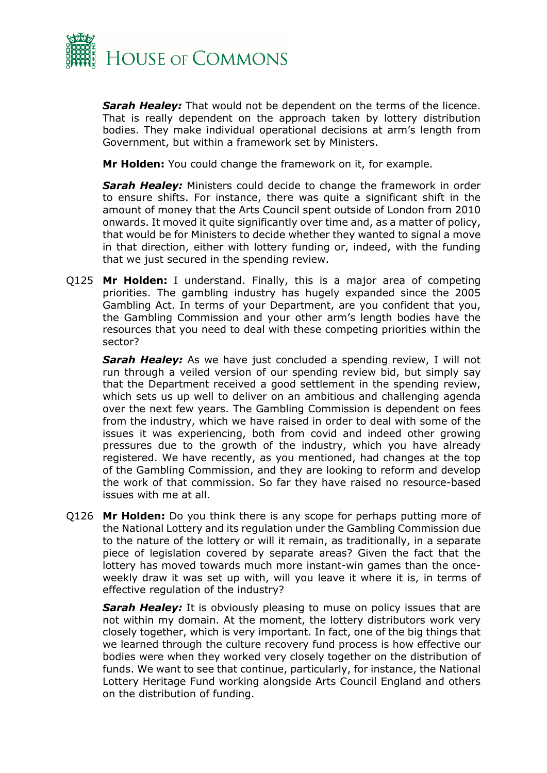

*Sarah Healey:* That would not be dependent on the terms of the licence. That is really dependent on the approach taken by lottery distribution bodies. They make individual operational decisions at arm's length from Government, but within a framework set by Ministers.

**Mr Holden:** You could change the framework on it, for example.

*Sarah Healey:* Ministers could decide to change the framework in order to ensure shifts. For instance, there was quite a significant shift in the amount of money that the Arts Council spent outside of London from 2010 onwards. It moved it quite significantly over time and, as a matter of policy, that would be for Ministers to decide whether they wanted to signal a move in that direction, either with lottery funding or, indeed, with the funding that we just secured in the spending review.

Q125 **Mr Holden:** I understand. Finally, this is a major area of competing priorities. The gambling industry has hugely expanded since the 2005 Gambling Act. In terms of your Department, are you confident that you, the Gambling Commission and your other arm's length bodies have the resources that you need to deal with these competing priorities within the sector?

*Sarah Healey:* As we have just concluded a spending review, I will not run through a veiled version of our spending review bid, but simply say that the Department received a good settlement in the spending review, which sets us up well to deliver on an ambitious and challenging agenda over the next few years. The Gambling Commission is dependent on fees from the industry, which we have raised in order to deal with some of the issues it was experiencing, both from covid and indeed other growing pressures due to the growth of the industry, which you have already registered. We have recently, as you mentioned, had changes at the top of the Gambling Commission, and they are looking to reform and develop the work of that commission. So far they have raised no resource-based issues with me at all.

Q126 **Mr Holden:** Do you think there is any scope for perhaps putting more of the National Lottery and its regulation under the Gambling Commission due to the nature of the lottery or will it remain, as traditionally, in a separate piece of legislation covered by separate areas? Given the fact that the lottery has moved towards much more instant-win games than the onceweekly draw it was set up with, will you leave it where it is, in terms of effective regulation of the industry?

**Sarah Healey:** It is obviously pleasing to muse on policy issues that are not within my domain. At the moment, the lottery distributors work very closely together, which is very important. In fact, one of the big things that we learned through the culture recovery fund process is how effective our bodies were when they worked very closely together on the distribution of funds. We want to see that continue, particularly, for instance, the National Lottery Heritage Fund working alongside Arts Council England and others on the distribution of funding.